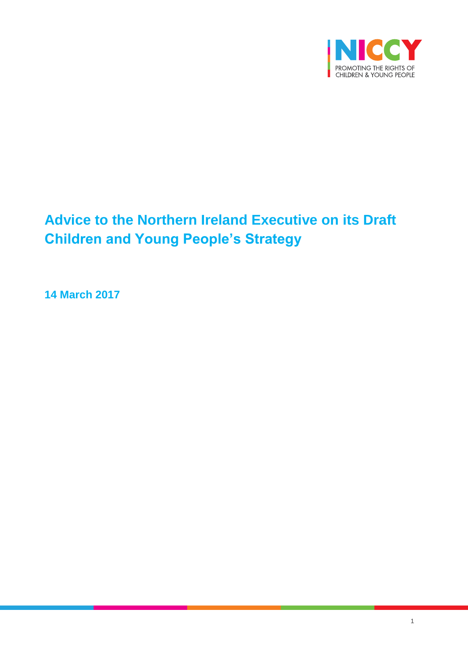

# **Advice to the Northern Ireland Executive on its Draft Children and Young People's Strategy**

**14 March 2017**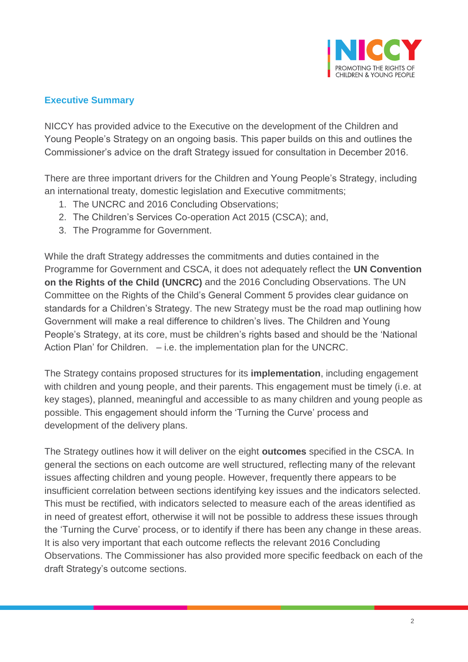

# **Executive Summary**

NICCY has provided advice to the Executive on the development of the Children and Young People's Strategy on an ongoing basis. This paper builds on this and outlines the Commissioner's advice on the draft Strategy issued for consultation in December 2016.

There are three important drivers for the Children and Young People's Strategy, including an international treaty, domestic legislation and Executive commitments;

- 1. The UNCRC and 2016 Concluding Observations;
- 2. The Children's Services Co-operation Act 2015 (CSCA); and,
- 3. The Programme for Government.

While the draft Strategy addresses the commitments and duties contained in the Programme for Government and CSCA, it does not adequately reflect the **UN Convention on the Rights of the Child (UNCRC)** and the 2016 Concluding Observations. The UN Committee on the Rights of the Child's General Comment 5 provides clear guidance on standards for a Children's Strategy. The new Strategy must be the road map outlining how Government will make a real difference to children's lives. The Children and Young People's Strategy, at its core, must be children's rights based and should be the 'National Action Plan' for Children. – i.e. the implementation plan for the UNCRC.

The Strategy contains proposed structures for its **implementation**, including engagement with children and young people, and their parents. This engagement must be timely (i.e. at key stages), planned, meaningful and accessible to as many children and young people as possible. This engagement should inform the 'Turning the Curve' process and development of the delivery plans.

The Strategy outlines how it will deliver on the eight **outcomes** specified in the CSCA. In general the sections on each outcome are well structured, reflecting many of the relevant issues affecting children and young people. However, frequently there appears to be insufficient correlation between sections identifying key issues and the indicators selected. This must be rectified, with indicators selected to measure each of the areas identified as in need of greatest effort, otherwise it will not be possible to address these issues through the 'Turning the Curve' process, or to identify if there has been any change in these areas. It is also very important that each outcome reflects the relevant 2016 Concluding Observations. The Commissioner has also provided more specific feedback on each of the draft Strategy's outcome sections.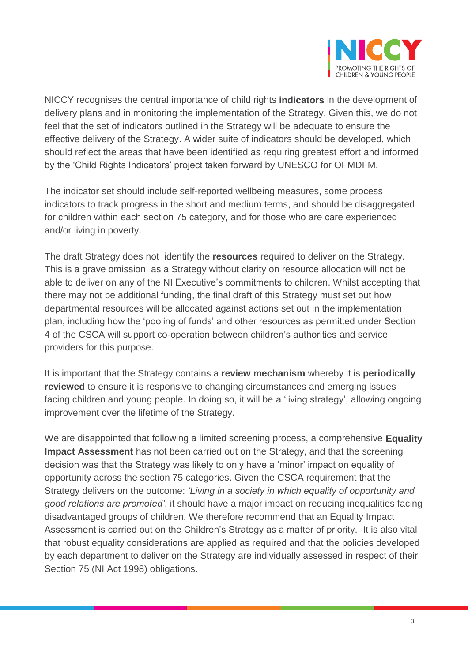

NICCY recognises the central importance of child rights **indicators** in the development of delivery plans and in monitoring the implementation of the Strategy. Given this, we do not feel that the set of indicators outlined in the Strategy will be adequate to ensure the effective delivery of the Strategy. A wider suite of indicators should be developed, which should reflect the areas that have been identified as requiring greatest effort and informed by the 'Child Rights Indicators' project taken forward by UNESCO for OFMDFM.

The indicator set should include self-reported wellbeing measures, some process indicators to track progress in the short and medium terms, and should be disaggregated for children within each section 75 category, and for those who are care experienced and/or living in poverty.

The draft Strategy does not identify the **resources** required to deliver on the Strategy. This is a grave omission, as a Strategy without clarity on resource allocation will not be able to deliver on any of the NI Executive's commitments to children. Whilst accepting that there may not be additional funding, the final draft of this Strategy must set out how departmental resources will be allocated against actions set out in the implementation plan, including how the 'pooling of funds' and other resources as permitted under Section 4 of the CSCA will support co-operation between children's authorities and service providers for this purpose.

It is important that the Strategy contains a **review mechanism** whereby it is **periodically reviewed** to ensure it is responsive to changing circumstances and emerging issues facing children and young people. In doing so, it will be a 'living strategy', allowing ongoing improvement over the lifetime of the Strategy.

We are disappointed that following a limited screening process, a comprehensive **Equality Impact Assessment** has not been carried out on the Strategy, and that the screening decision was that the Strategy was likely to only have a 'minor' impact on equality of opportunity across the section 75 categories. Given the CSCA requirement that the Strategy delivers on the outcome: *'Living in a society in which equality of opportunity and good relations are promoted'*, it should have a major impact on reducing inequalities facing disadvantaged groups of children. We therefore recommend that an Equality Impact Assessment is carried out on the Children's Strategy as a matter of priority. It is also vital that robust equality considerations are applied as required and that the policies developed by each department to deliver on the Strategy are individually assessed in respect of their Section 75 (NI Act 1998) obligations.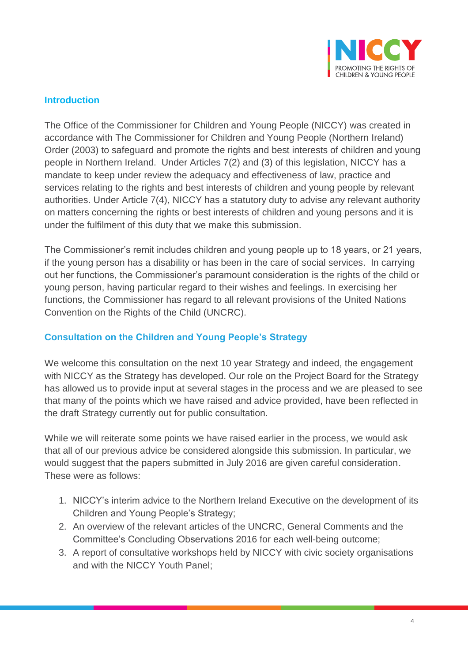

#### **Introduction**

The Office of the Commissioner for Children and Young People (NICCY) was created in accordance with The Commissioner for Children and Young People (Northern Ireland) Order (2003) to safeguard and promote the rights and best interests of children and young people in Northern Ireland. Under Articles 7(2) and (3) of this legislation, NICCY has a mandate to keep under review the adequacy and effectiveness of law, practice and services relating to the rights and best interests of children and young people by relevant authorities. Under Article 7(4), NICCY has a statutory duty to advise any relevant authority on matters concerning the rights or best interests of children and young persons and it is under the fulfilment of this duty that we make this submission.

The Commissioner's remit includes children and young people up to 18 years, or 21 years, if the young person has a disability or has been in the care of social services. In carrying out her functions, the Commissioner's paramount consideration is the rights of the child or young person, having particular regard to their wishes and feelings. In exercising her functions, the Commissioner has regard to all relevant provisions of the United Nations Convention on the Rights of the Child (UNCRC).

# **Consultation on the Children and Young People's Strategy**

We welcome this consultation on the next 10 year Strategy and indeed, the engagement with NICCY as the Strategy has developed. Our role on the Project Board for the Strategy has allowed us to provide input at several stages in the process and we are pleased to see that many of the points which we have raised and advice provided, have been reflected in the draft Strategy currently out for public consultation.

While we will reiterate some points we have raised earlier in the process, we would ask that all of our previous advice be considered alongside this submission. In particular, we would suggest that the papers submitted in July 2016 are given careful consideration. These were as follows:

- 1. NICCY's interim advice to the Northern Ireland Executive on the development of its Children and Young People's Strategy;
- 2. An overview of the relevant articles of the UNCRC, General Comments and the Committee's Concluding Observations 2016 for each well-being outcome;
- 3. A report of consultative workshops held by NICCY with civic society organisations and with the NICCY Youth Panel;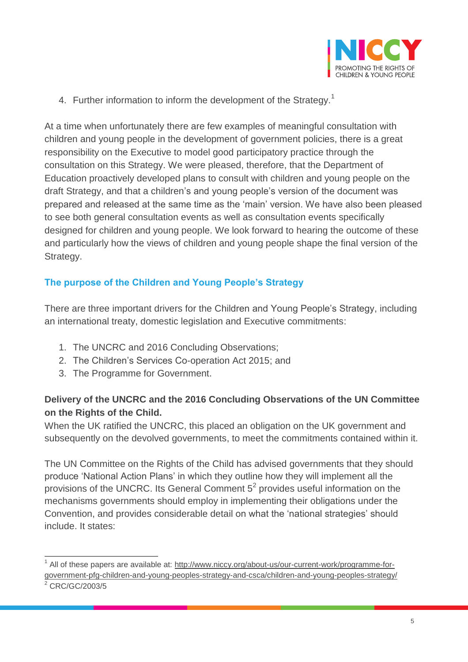

4. Further information to inform the development of the Strategy.<sup>1</sup>

At a time when unfortunately there are few examples of meaningful consultation with children and young people in the development of government policies, there is a great responsibility on the Executive to model good participatory practice through the consultation on this Strategy. We were pleased, therefore, that the Department of Education proactively developed plans to consult with children and young people on the draft Strategy, and that a children's and young people's version of the document was prepared and released at the same time as the 'main' version. We have also been pleased to see both general consultation events as well as consultation events specifically designed for children and young people. We look forward to hearing the outcome of these and particularly how the views of children and young people shape the final version of the Strategy.

# **The purpose of the Children and Young People's Strategy**

There are three important drivers for the Children and Young People's Strategy, including an international treaty, domestic legislation and Executive commitments:

- 1. The UNCRC and 2016 Concluding Observations;
- 2. The Children's Services Co-operation Act 2015; and
- 3. The Programme for Government.

# **Delivery of the UNCRC and the 2016 Concluding Observations of the UN Committee on the Rights of the Child.**

When the UK ratified the UNCRC, this placed an obligation on the UK government and subsequently on the devolved governments, to meet the commitments contained within it.

The UN Committee on the Rights of the Child has advised governments that they should produce 'National Action Plans' in which they outline how they will implement all the provisions of the UNCRC. Its General Comment  $5^2$  provides useful information on the mechanisms governments should employ in implementing their obligations under the Convention, and provides considerable detail on what the 'national strategies' should include. It states:

 $\overline{a}$ 

<sup>&</sup>lt;sup>1</sup> All of these papers are available at: [http://www.niccy.org/about-us/our-current-work/programme-for](http://www.niccy.org/about-us/our-current-work/programme-for-government-pfg-children-and-young-peoples-strategy-and-csca/children-and-young-peoples-strategy/)[government-pfg-children-and-young-peoples-strategy-and-csca/children-and-young-peoples-strategy/](http://www.niccy.org/about-us/our-current-work/programme-for-government-pfg-children-and-young-peoples-strategy-and-csca/children-and-young-peoples-strategy/)

<sup>2</sup> CRC/GC/2003/5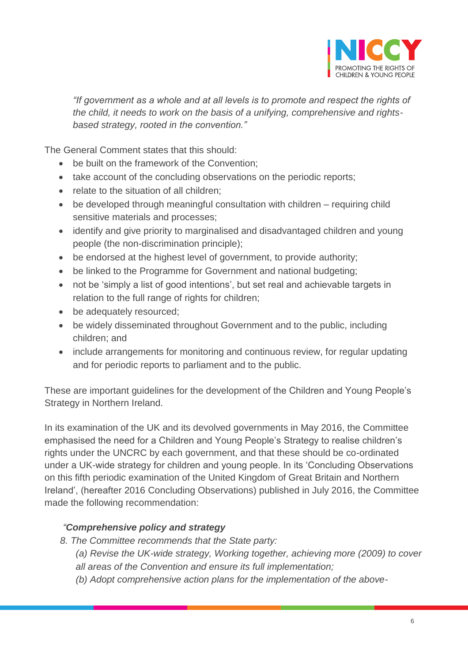

*"If government as a whole and at all levels is to promote and respect the rights of the child, it needs to work on the basis of a unifying, comprehensive and rightsbased strategy, rooted in the convention."*

The General Comment states that this should:

- be built on the framework of the Convention;
- take account of the concluding observations on the periodic reports;
- relate to the situation of all children;
- be developed through meaningful consultation with children requiring child sensitive materials and processes;
- identify and give priority to marginalised and disadvantaged children and young people (the non-discrimination principle);
- be endorsed at the highest level of government, to provide authority;
- be linked to the Programme for Government and national budgeting;
- not be 'simply a list of good intentions', but set real and achievable targets in relation to the full range of rights for children;
- be adequately resourced;
- be widely disseminated throughout Government and to the public, including children; and
- include arrangements for monitoring and continuous review, for regular updating and for periodic reports to parliament and to the public.

These are important guidelines for the development of the Children and Young People's Strategy in Northern Ireland.

In its examination of the UK and its devolved governments in May 2016, the Committee emphasised the need for a Children and Young People's Strategy to realise children's rights under the UNCRC by each government, and that these should be co-ordinated under a UK-wide strategy for children and young people. In its 'Concluding Observations on this fifth periodic examination of the United Kingdom of Great Britain and Northern Ireland', (hereafter 2016 Concluding Observations) published in July 2016, the Committee made the following recommendation:

# *"Comprehensive policy and strategy*

- *8. The Committee recommends that the State party:* 
	- *(a) Revise the UK-wide strategy, Working together, achieving more (2009) to cover*
	- *all areas of the Convention and ensure its full implementation;*
	- *(b) Adopt comprehensive action plans for the implementation of the above-*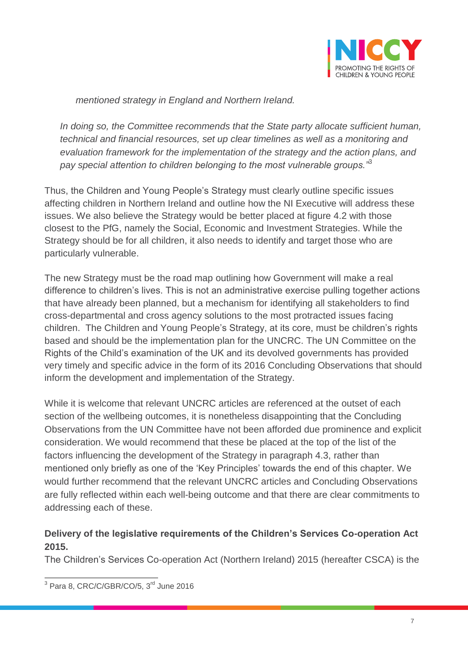

*mentioned strategy in England and Northern Ireland.* 

*In doing so, the Committee recommends that the State party allocate sufficient human, technical and financial resources, set up clear timelines as well as a monitoring and evaluation framework for the implementation of the strategy and the action plans, and pay special attention to children belonging to the most vulnerable groups."*<sup>3</sup>

Thus, the Children and Young People's Strategy must clearly outline specific issues affecting children in Northern Ireland and outline how the NI Executive will address these issues. We also believe the Strategy would be better placed at figure 4.2 with those closest to the PfG, namely the Social, Economic and Investment Strategies. While the Strategy should be for all children, it also needs to identify and target those who are particularly vulnerable.

The new Strategy must be the road map outlining how Government will make a real difference to children's lives. This is not an administrative exercise pulling together actions that have already been planned, but a mechanism for identifying all stakeholders to find cross-departmental and cross agency solutions to the most protracted issues facing children. The Children and Young People's Strategy, at its core, must be children's rights based and should be the implementation plan for the UNCRC. The UN Committee on the Rights of the Child's examination of the UK and its devolved governments has provided very timely and specific advice in the form of its 2016 Concluding Observations that should inform the development and implementation of the Strategy.

While it is welcome that relevant UNCRC articles are referenced at the outset of each section of the wellbeing outcomes, it is nonetheless disappointing that the Concluding Observations from the UN Committee have not been afforded due prominence and explicit consideration. We would recommend that these be placed at the top of the list of the factors influencing the development of the Strategy in paragraph 4.3, rather than mentioned only briefly as one of the 'Key Principles' towards the end of this chapter. We would further recommend that the relevant UNCRC articles and Concluding Observations are fully reflected within each well-being outcome and that there are clear commitments to addressing each of these.

# **Delivery of the legislative requirements of the Children's Services Co-operation Act 2015.**

The Children's Services Co-operation Act (Northern Ireland) 2015 (hereafter CSCA) is the

<sup>&</sup>lt;sup>3</sup> Para 8, CRC/C/GBR/CO/5, 3<sup>rd</sup> June 2016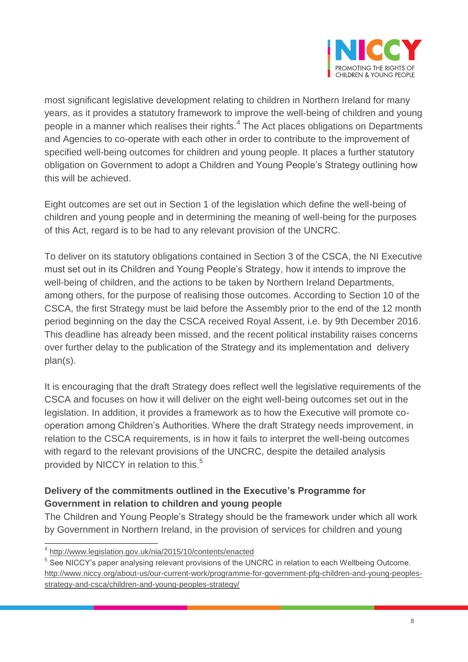

most significant legislative development relating to children in Northern Ireland for many years, as it provides a statutory framework to improve the well-being of children and young people in a manner which realises their rights.<sup>4</sup> The Act places obligations on Departments and Agencies to co-operate with each other in order to contribute to the improvement of specified well-being outcomes for children and young people. It places a further statutory obligation on Government to adopt a Children and Young People's Strategy outlining how this will be achieved.

Eight outcomes are set out in Section 1 of the legislation which define the well-being of children and young people and in determining the meaning of well-being for the purposes of this Act, regard is to be had to any relevant provision of the UNCRC.

To deliver on its statutory obligations contained in Section 3 of the CSCA, the NI Executive must set out in its Children and Young People's Strategy, how it intends to improve the well-being of children, and the actions to be taken by Northern Ireland Departments, among others, for the purpose of realising those outcomes. According to Section 10 of the CSCA, the first Strategy must be laid before the Assembly prior to the end of the 12 month period beginning on the day the CSCA received Royal Assent, i.e. by 9th December 2016. This deadline has already been missed, and the recent political instability raises concerns over further delay to the publication of the Strategy and its implementation and delivery plan(s).

It is encouraging that the draft Strategy does reflect well the legislative requirements of the CSCA and focuses on how it will deliver on the eight well-being outcomes set out in the legislation. In addition, it provides a framework as to how the Executive will promote cooperation among Children's Authorities. Where the draft Strategy needs improvement, in relation to the CSCA requirements, is in how it fails to interpret the well-being outcomes with regard to the relevant provisions of the UNCRC, despite the detailed analysis provided by NICCY in relation to this.<sup>5</sup>

# **Delivery of the commitments outlined in the Executive's Programme for Government in relation to children and young people**

The Children and Young People's Strategy should be the framework under which all work by Government in Northern Ireland, in the provision of services for children and young

 4 <http://www.legislation.gov.uk/nia/2015/10/contents/enacted>

 $^5$  See NICCY's paper analysing relevant provisions of the UNCRC in relation to each Wellbeing Outcome. [http://www.niccy.org/about-us/our-current-work/programme-for-government-pfg-children-and-young-peoples](http://www.niccy.org/about-us/our-current-work/programme-for-government-pfg-children-and-young-peoples-strategy-and-csca/children-and-young-peoples-strategy/)[strategy-and-csca/children-and-young-peoples-strategy/](http://www.niccy.org/about-us/our-current-work/programme-for-government-pfg-children-and-young-peoples-strategy-and-csca/children-and-young-peoples-strategy/)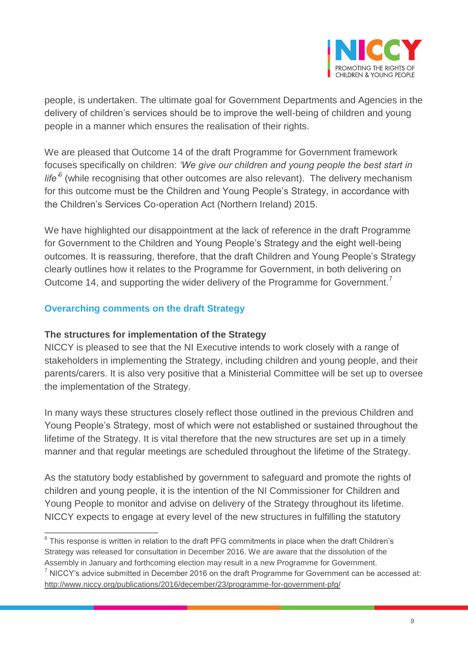

people, is undertaken. The ultimate goal for Government Departments and Agencies in the delivery of children's services should be to improve the well-being of children and young people in a manner which ensures the realisation of their rights.

We are pleased that Outcome 14 of the draft Programme for Government framework focuses specifically on children: *'We give our children and young people the best start in*  life<sup>6</sup> (while recognising that other outcomes are also relevant). The delivery mechanism for this outcome must be the Children and Young People's Strategy, in accordance with the Children's Services Co-operation Act (Northern Ireland) 2015.

We have highlighted our disappointment at the lack of reference in the draft Programme for Government to the Children and Young People's Strategy and the eight well-being outcomes. It is reassuring, therefore, that the draft Children and Young People's Strategy clearly outlines how it relates to the Programme for Government, in both delivering on Outcome 14, and supporting the wider delivery of the Programme for Government.<sup>7</sup>

# **Overarching comments on the draft Strategy**

## **The structures for implementation of the Strategy**

NICCY is pleased to see that the NI Executive intends to work closely with a range of stakeholders in implementing the Strategy, including children and young people, and their parents/carers. It is also very positive that a Ministerial Committee will be set up to oversee the implementation of the Strategy.

In many ways these structures closely reflect those outlined in the previous Children and Young People's Strategy, most of which were not established or sustained throughout the lifetime of the Strategy. It is vital therefore that the new structures are set up in a timely manner and that regular meetings are scheduled throughout the lifetime of the Strategy.

As the statutory body established by government to safeguard and promote the rights of children and young people, it is the intention of the NI Commissioner for Children and Young People to monitor and advise on delivery of the Strategy throughout its lifetime. NICCY expects to engage at every level of the new structures in fulfilling the statutory

 6 This response is written in relation to the draft PFG commitments in place when the draft Children's Strategy was released for consultation in December 2016. We are aware that the dissolution of the Assembly in January and forthcoming election may result in a new Programme for Government.  $7$  NICCY's advice submitted in December 2016 on the draft Programme for Government can be accessed at:

<http://www.niccy.org/publications/2016/december/23/programme-for-government-pfg/>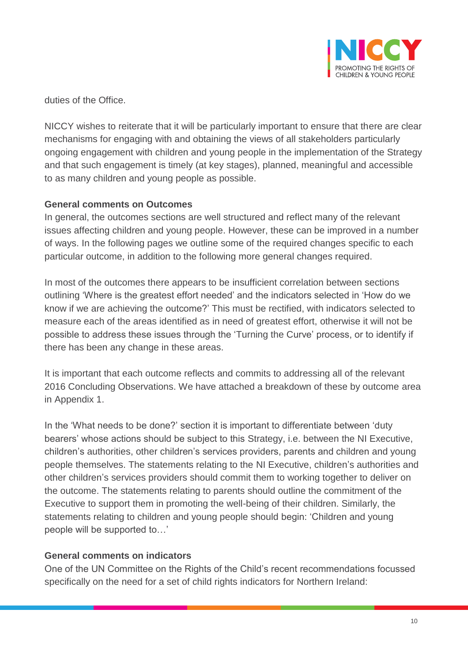

duties of the Office.

NICCY wishes to reiterate that it will be particularly important to ensure that there are clear mechanisms for engaging with and obtaining the views of all stakeholders particularly ongoing engagement with children and young people in the implementation of the Strategy and that such engagement is timely (at key stages), planned, meaningful and accessible to as many children and young people as possible.

# **General comments on Outcomes**

In general, the outcomes sections are well structured and reflect many of the relevant issues affecting children and young people. However, these can be improved in a number of ways. In the following pages we outline some of the required changes specific to each particular outcome, in addition to the following more general changes required.

In most of the outcomes there appears to be insufficient correlation between sections outlining 'Where is the greatest effort needed' and the indicators selected in 'How do we know if we are achieving the outcome?' This must be rectified, with indicators selected to measure each of the areas identified as in need of greatest effort, otherwise it will not be possible to address these issues through the 'Turning the Curve' process, or to identify if there has been any change in these areas.

It is important that each outcome reflects and commits to addressing all of the relevant 2016 Concluding Observations. We have attached a breakdown of these by outcome area in Appendix 1.

In the 'What needs to be done?' section it is important to differentiate between 'duty bearers' whose actions should be subject to this Strategy, i.e. between the NI Executive, children's authorities, other children's services providers, parents and children and young people themselves. The statements relating to the NI Executive, children's authorities and other children's services providers should commit them to working together to deliver on the outcome. The statements relating to parents should outline the commitment of the Executive to support them in promoting the well-being of their children. Similarly, the statements relating to children and young people should begin: 'Children and young people will be supported to…'

# **General comments on indicators**

One of the UN Committee on the Rights of the Child's recent recommendations focussed specifically on the need for a set of child rights indicators for Northern Ireland: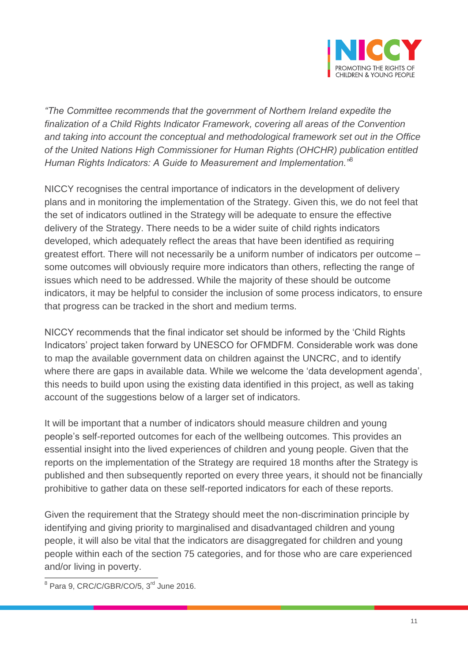

*"The Committee recommends that the government of Northern Ireland expedite the finalization of a Child Rights Indicator Framework, covering all areas of the Convention and taking into account the conceptual and methodological framework set out in the Office of the United Nations High Commissioner for Human Rights (OHCHR) publication entitled Human Rights Indicators: A Guide to Measurement and Implementation."*<sup>8</sup>

NICCY recognises the central importance of indicators in the development of delivery plans and in monitoring the implementation of the Strategy. Given this, we do not feel that the set of indicators outlined in the Strategy will be adequate to ensure the effective delivery of the Strategy. There needs to be a wider suite of child rights indicators developed, which adequately reflect the areas that have been identified as requiring greatest effort. There will not necessarily be a uniform number of indicators per outcome – some outcomes will obviously require more indicators than others, reflecting the range of issues which need to be addressed. While the majority of these should be outcome indicators, it may be helpful to consider the inclusion of some process indicators, to ensure that progress can be tracked in the short and medium terms.

NICCY recommends that the final indicator set should be informed by the 'Child Rights Indicators' project taken forward by UNESCO for OFMDFM. Considerable work was done to map the available government data on children against the UNCRC, and to identify where there are gaps in available data. While we welcome the 'data development agenda', this needs to build upon using the existing data identified in this project, as well as taking account of the suggestions below of a larger set of indicators.

It will be important that a number of indicators should measure children and young people's self-reported outcomes for each of the wellbeing outcomes. This provides an essential insight into the lived experiences of children and young people. Given that the reports on the implementation of the Strategy are required 18 months after the Strategy is published and then subsequently reported on every three years, it should not be financially prohibitive to gather data on these self-reported indicators for each of these reports.

Given the requirement that the Strategy should meet the non-discrimination principle by identifying and giving priority to marginalised and disadvantaged children and young people, it will also be vital that the indicators are disaggregated for children and young people within each of the section 75 categories, and for those who are care experienced and/or living in poverty.

<sup>&</sup>lt;sup>8</sup> Para 9, CRC/C/GBR/CO/5, 3<sup>rd</sup> June 2016.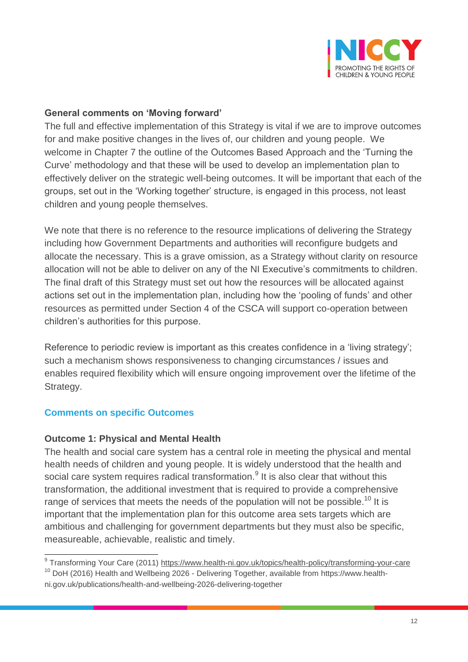

## **General comments on 'Moving forward'**

The full and effective implementation of this Strategy is vital if we are to improve outcomes for and make positive changes in the lives of, our children and young people. We welcome in Chapter 7 the outline of the Outcomes Based Approach and the 'Turning the Curve' methodology and that these will be used to develop an implementation plan to effectively deliver on the strategic well-being outcomes. It will be important that each of the groups, set out in the 'Working together' structure, is engaged in this process, not least children and young people themselves.

We note that there is no reference to the resource implications of delivering the Strategy including how Government Departments and authorities will reconfigure budgets and allocate the necessary. This is a grave omission, as a Strategy without clarity on resource allocation will not be able to deliver on any of the NI Executive's commitments to children. The final draft of this Strategy must set out how the resources will be allocated against actions set out in the implementation plan, including how the 'pooling of funds' and other resources as permitted under Section 4 of the CSCA will support co-operation between children's authorities for this purpose.

Reference to periodic review is important as this creates confidence in a 'living strategy'; such a mechanism shows responsiveness to changing circumstances / issues and enables required flexibility which will ensure ongoing improvement over the lifetime of the Strategy.

# **Comments on specific Outcomes**

#### **Outcome 1: Physical and Mental Health**

The health and social care system has a central role in meeting the physical and mental health needs of children and young people. It is widely understood that the health and social care system requires radical transformation.<sup>9</sup> It is also clear that without this transformation, the additional investment that is required to provide a comprehensive range of services that meets the needs of the population will not be possible.<sup>10</sup> It is important that the implementation plan for this outcome area sets targets which are ambitious and challenging for government departments but they must also be specific, measureable, achievable, realistic and timely.

 9 Transforming Your Care (2011)<https://www.health-ni.gov.uk/topics/health-policy/transforming-your-care>

<sup>&</sup>lt;sup>10</sup> DoH (2016) Health and Wellbeing 2026 - Delivering Together, available from [https://www.health](https://www.health-ni.gov.uk/publications/health-and-wellbeing-2026-delivering-together)[ni.gov.uk/publications/health-and-wellbeing-2026-delivering-together](https://www.health-ni.gov.uk/publications/health-and-wellbeing-2026-delivering-together)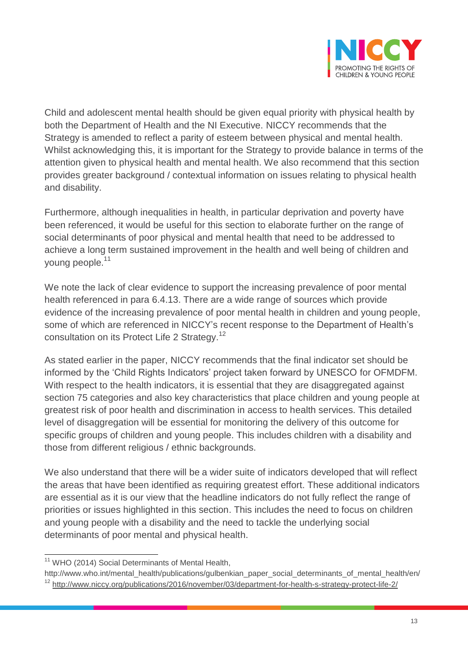

Child and adolescent mental health should be given equal priority with physical health by both the Department of Health and the NI Executive. NICCY recommends that the Strategy is amended to reflect a parity of esteem between physical and mental health. Whilst acknowledging this, it is important for the Strategy to provide balance in terms of the attention given to physical health and mental health. We also recommend that this section provides greater background / contextual information on issues relating to physical health and disability.

Furthermore, although inequalities in health, in particular deprivation and poverty have been referenced, it would be useful for this section to elaborate further on the range of social determinants of poor physical and mental health that need to be addressed to achieve a long term sustained improvement in the health and well being of children and young people.<sup>11</sup>

We note the lack of clear evidence to support the increasing prevalence of poor mental health referenced in para 6.4.13. There are a wide range of sources which provide evidence of the increasing prevalence of poor mental health in children and young people, some of which are referenced in NICCY's recent response to the Department of Health's consultation on its Protect Life 2 Strategy.<sup>12</sup>

As stated earlier in the paper, NICCY recommends that the final indicator set should be informed by the 'Child Rights Indicators' project taken forward by UNESCO for OFMDFM. With respect to the health indicators, it is essential that they are disaggregated against section 75 categories and also key characteristics that place children and young people at greatest risk of poor health and discrimination in access to health services. This detailed level of disaggregation will be essential for monitoring the delivery of this outcome for specific groups of children and young people. This includes children with a disability and those from different religious / ethnic backgrounds.

We also understand that there will be a wider suite of indicators developed that will reflect the areas that have been identified as requiring greatest effort. These additional indicators are essential as it is our view that the headline indicators do not fully reflect the range of priorities or issues highlighted in this section. This includes the need to focus on children and young people with a disability and the need to tackle the underlying social determinants of poor mental and physical health.

 $\overline{a}$ 

<sup>&</sup>lt;sup>11</sup> WHO (2014) Social Determinants of Mental Health,

[http://www.who.int/mental\\_health/publications/gulbenkian\\_paper\\_social\\_determinants\\_of\\_mental\\_health/en/](http://www.who.int/mental_health/publications/gulbenkian_paper_social_determinants_of_mental_health/en/) 

<sup>&</sup>lt;sup>12</sup> <http://www.niccy.org/publications/2016/november/03/department-for-health-s-strategy-protect-life-2/>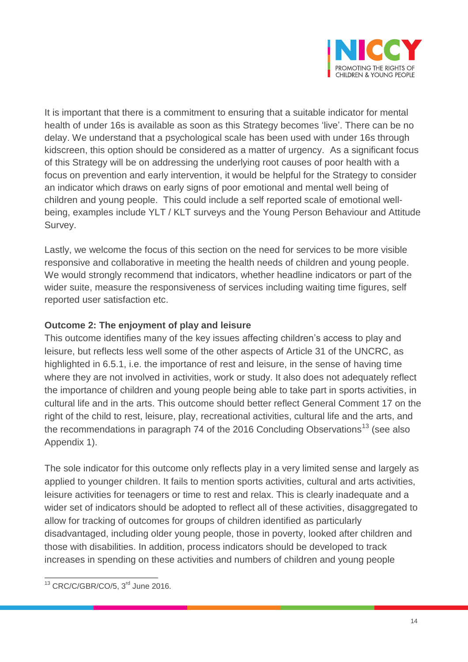

It is important that there is a commitment to ensuring that a suitable indicator for mental health of under 16s is available as soon as this Strategy becomes 'live'. There can be no delay. We understand that a psychological scale has been used with under 16s through kidscreen, this option should be considered as a matter of urgency. As a significant focus of this Strategy will be on addressing the underlying root causes of poor health with a focus on prevention and early intervention, it would be helpful for the Strategy to consider an indicator which draws on early signs of poor emotional and mental well being of children and young people. This could include a self reported scale of emotional wellbeing, examples include YLT / KLT surveys and the Young Person Behaviour and Attitude Survey.

Lastly, we welcome the focus of this section on the need for services to be more visible responsive and collaborative in meeting the health needs of children and young people. We would strongly recommend that indicators, whether headline indicators or part of the wider suite, measure the responsiveness of services including waiting time figures, self reported user satisfaction etc.

# **Outcome 2: The enjoyment of play and leisure**

This outcome identifies many of the key issues affecting children's access to play and leisure, but reflects less well some of the other aspects of Article 31 of the UNCRC, as highlighted in 6.5.1, i.e. the importance of rest and leisure, in the sense of having time where they are not involved in activities, work or study. It also does not adequately reflect the importance of children and young people being able to take part in sports activities, in cultural life and in the arts. This outcome should better reflect General Comment 17 on the right of the child to rest, leisure, play, recreational activities, cultural life and the arts, and the recommendations in paragraph 74 of the 2016 Concluding Observations<sup>13</sup> (see also Appendix 1).

The sole indicator for this outcome only reflects play in a very limited sense and largely as applied to younger children. It fails to mention sports activities, cultural and arts activities, leisure activities for teenagers or time to rest and relax. This is clearly inadequate and a wider set of indicators should be adopted to reflect all of these activities, disaggregated to allow for tracking of outcomes for groups of children identified as particularly disadvantaged, including older young people, those in poverty, looked after children and those with disabilities. In addition, process indicators should be developed to track increases in spending on these activities and numbers of children and young people

 $\overline{a}$  $13$  CRC/C/GBR/CO/5,  $3<sup>rd</sup>$  June 2016.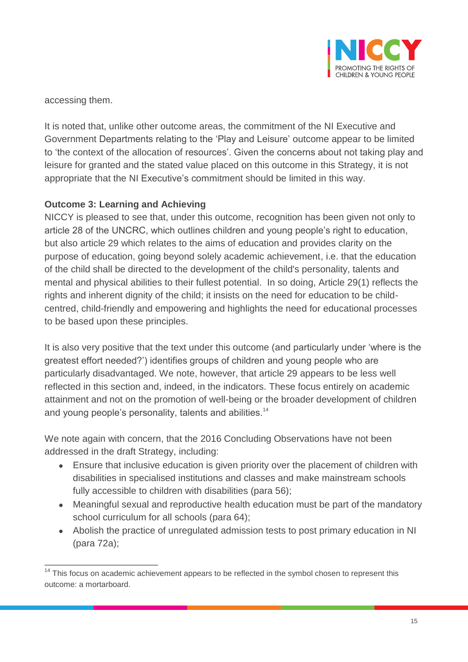

accessing them.

It is noted that, unlike other outcome areas, the commitment of the NI Executive and Government Departments relating to the 'Play and Leisure' outcome appear to be limited to 'the context of the allocation of resources'. Given the concerns about not taking play and leisure for granted and the stated value placed on this outcome in this Strategy, it is not appropriate that the NI Executive's commitment should be limited in this way.

# **Outcome 3: Learning and Achieving**

NICCY is pleased to see that, under this outcome, recognition has been given not only to article 28 of the UNCRC, which outlines children and young people's right to education, but also article 29 which relates to the aims of education and provides clarity on the purpose of education, going beyond solely academic achievement, i.e. that the education of the child shall be directed to the development of the child's personality, talents and mental and physical abilities to their fullest potential. In so doing, Article 29(1) reflects the rights and inherent dignity of the child; it insists on the need for education to be childcentred, child-friendly and empowering and highlights the need for educational processes to be based upon these principles.

It is also very positive that the text under this outcome (and particularly under 'where is the greatest effort needed?') identifies groups of children and young people who are particularly disadvantaged. We note, however, that article 29 appears to be less well reflected in this section and, indeed, in the indicators. These focus entirely on academic attainment and not on the promotion of well-being or the broader development of children and young people's personality, talents and abilities.<sup>14</sup>

We note again with concern, that the 2016 Concluding Observations have not been addressed in the draft Strategy, including:

- Ensure that inclusive education is given priority over the placement of children with disabilities in specialised institutions and classes and make mainstream schools fully accessible to children with disabilities (para 56);
- Meaningful sexual and reproductive health education must be part of the mandatory school curriculum for all schools (para 64);
- Abolish the practice of unregulated admission tests to post primary education in NI (para 72a);

 $\overline{a}$  $14$  This focus on academic achievement appears to be reflected in the symbol chosen to represent this outcome: a mortarboard.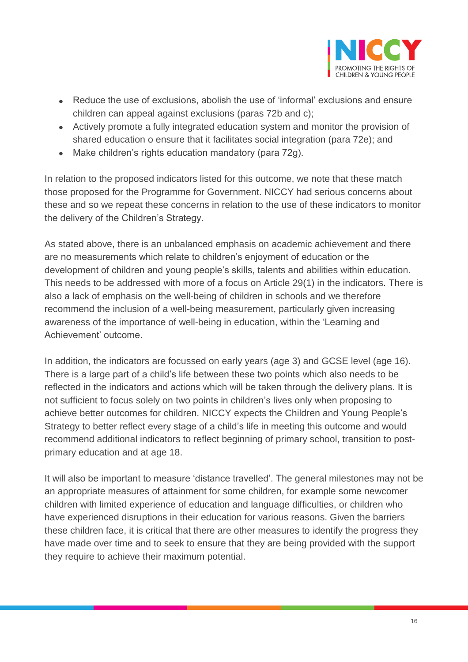

- Reduce the use of exclusions, abolish the use of 'informal' exclusions and ensure children can appeal against exclusions (paras 72b and c);
- Actively promote a fully integrated education system and monitor the provision of shared education o ensure that it facilitates social integration (para 72e); and
- Make children's rights education mandatory (para 72g).

In relation to the proposed indicators listed for this outcome, we note that these match those proposed for the Programme for Government. NICCY had serious concerns about these and so we repeat these concerns in relation to the use of these indicators to monitor the delivery of the Children's Strategy.

As stated above, there is an unbalanced emphasis on academic achievement and there are no measurements which relate to children's enjoyment of education or the development of children and young people's skills, talents and abilities within education. This needs to be addressed with more of a focus on Article 29(1) in the indicators. There is also a lack of emphasis on the well-being of children in schools and we therefore recommend the inclusion of a well-being measurement, particularly given increasing awareness of the importance of well-being in education, within the 'Learning and Achievement' outcome.

In addition, the indicators are focussed on early years (age 3) and GCSE level (age 16). There is a large part of a child's life between these two points which also needs to be reflected in the indicators and actions which will be taken through the delivery plans. It is not sufficient to focus solely on two points in children's lives only when proposing to achieve better outcomes for children. NICCY expects the Children and Young People's Strategy to better reflect every stage of a child's life in meeting this outcome and would recommend additional indicators to reflect beginning of primary school, transition to postprimary education and at age 18.

It will also be important to measure 'distance travelled'. The general milestones may not be an appropriate measures of attainment for some children, for example some newcomer children with limited experience of education and language difficulties, or children who have experienced disruptions in their education for various reasons. Given the barriers these children face, it is critical that there are other measures to identify the progress they have made over time and to seek to ensure that they are being provided with the support they require to achieve their maximum potential.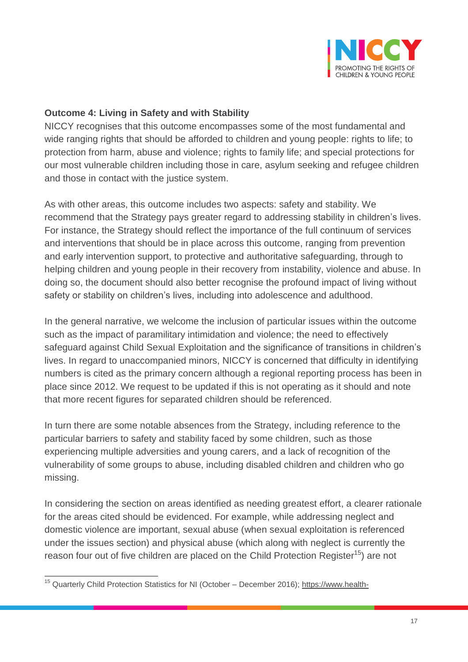

## **Outcome 4: Living in Safety and with Stability**

NICCY recognises that this outcome encompasses some of the most fundamental and wide ranging rights that should be afforded to children and young people: rights to life; to protection from harm, abuse and violence; rights to family life; and special protections for our most vulnerable children including those in care, asylum seeking and refugee children and those in contact with the justice system.

As with other areas, this outcome includes two aspects: safety and stability. We recommend that the Strategy pays greater regard to addressing stability in children's lives. For instance, the Strategy should reflect the importance of the full continuum of services and interventions that should be in place across this outcome, ranging from prevention and early intervention support, to protective and authoritative safeguarding, through to helping children and young people in their recovery from instability, violence and abuse. In doing so, the document should also better recognise the profound impact of living without safety or stability on children's lives, including into adolescence and adulthood.

In the general narrative, we welcome the inclusion of particular issues within the outcome such as the impact of paramilitary intimidation and violence; the need to effectively safeguard against Child Sexual Exploitation and the significance of transitions in children's lives. In regard to unaccompanied minors, NICCY is concerned that difficulty in identifying numbers is cited as the primary concern although a regional reporting process has been in place since 2012. We request to be updated if this is not operating as it should and note that more recent figures for separated children should be referenced.

In turn there are some notable absences from the Strategy, including reference to the particular barriers to safety and stability faced by some children, such as those experiencing multiple adversities and young carers, and a lack of recognition of the vulnerability of some groups to abuse, including disabled children and children who go missing.

In considering the section on areas identified as needing greatest effort, a clearer rationale for the areas cited should be evidenced. For example, while addressing neglect and domestic violence are important, sexual abuse (when sexual exploitation is referenced under the issues section) and physical abuse (which along with neglect is currently the reason four out of five children are placed on the Child Protection Register<sup>15</sup>) are not

 $\overline{a}$ 

<sup>&</sup>lt;sup>15</sup> Quarterly Child Protection Statistics for NI (October – December 2016); [https://www.health-](https://www.health-ni.gov.uk/publications/statistical-releases-calendar)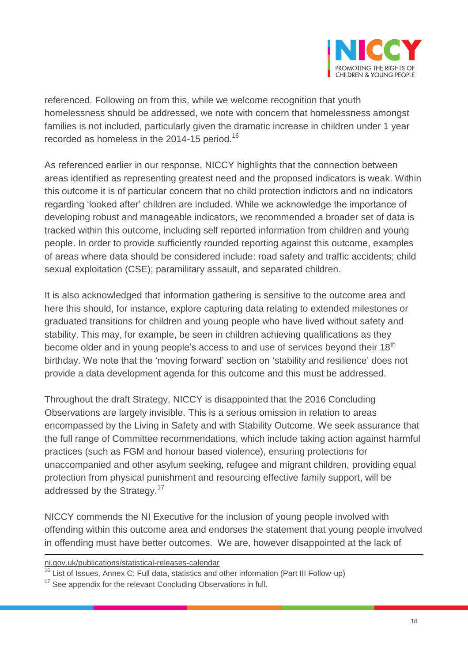

referenced. Following on from this, while we welcome recognition that youth homelessness should be addressed, we note with concern that homelessness amongst families is not included, particularly given the dramatic increase in children under 1 year recorded as homeless in the 2014-15 period. 16

As referenced earlier in our response, NICCY highlights that the connection between areas identified as representing greatest need and the proposed indicators is weak. Within this outcome it is of particular concern that no child protection indictors and no indicators regarding 'looked after' children are included. While we acknowledge the importance of developing robust and manageable indicators, we recommended a broader set of data is tracked within this outcome, including self reported information from children and young people. In order to provide sufficiently rounded reporting against this outcome, examples of areas where data should be considered include: road safety and traffic accidents; child sexual exploitation (CSE); paramilitary assault, and separated children.

It is also acknowledged that information gathering is sensitive to the outcome area and here this should, for instance, explore capturing data relating to extended milestones or graduated transitions for children and young people who have lived without safety and stability. This may, for example, be seen in children achieving qualifications as they become older and in young people's access to and use of services beyond their 18<sup>th</sup> birthday. We note that the 'moving forward' section on 'stability and resilience' does not provide a data development agenda for this outcome and this must be addressed.

Throughout the draft Strategy, NICCY is disappointed that the 2016 Concluding Observations are largely invisible. This is a serious omission in relation to areas encompassed by the Living in Safety and with Stability Outcome. We seek assurance that the full range of Committee recommendations, which include taking action against harmful practices (such as FGM and honour based violence), ensuring protections for unaccompanied and other asylum seeking, refugee and migrant children, providing equal protection from physical punishment and resourcing effective family support, will be addressed by the Strategy.<sup>17</sup>

NICCY commends the NI Executive for the inclusion of young people involved with offending within this outcome area and endorses the statement that young people involved in offending must have better outcomes. We are, however disappointed at the lack of

 $\overline{a}$ 

ni.gov.uk/publications/statistical-releases-calendar

 $16$  List of Issues, Annex C: Full data, statistics and other information (Part III Follow-up)

 $17$  See appendix for the relevant Concluding Observations in full.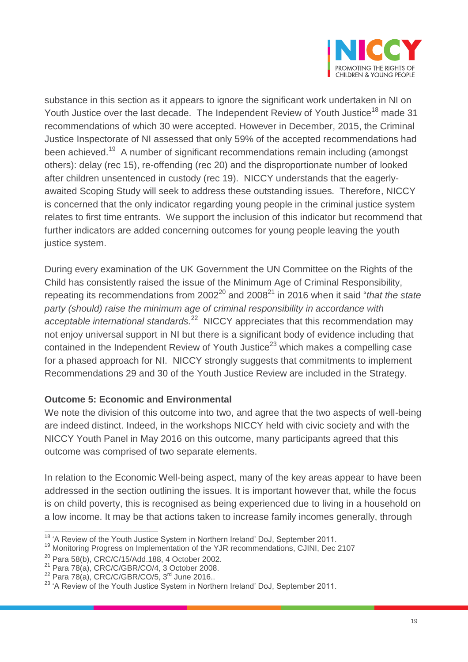

substance in this section as it appears to ignore the significant work undertaken in NI on Youth Justice over the last decade. The Independent Review of Youth Justice<sup>18</sup> made 31 recommendations of which 30 were accepted. However in December, 2015, the Criminal Justice Inspectorate of NI assessed that only 59% of the accepted recommendations had been achieved.<sup>19</sup> A number of significant recommendations remain including (amongst others): delay (rec 15), re-offending (rec 20) and the disproportionate number of looked after children unsentenced in custody (rec 19). NICCY understands that the eagerlyawaited Scoping Study will seek to address these outstanding issues. Therefore, NICCY is concerned that the only indicator regarding young people in the criminal justice system relates to first time entrants. We support the inclusion of this indicator but recommend that further indicators are added concerning outcomes for young people leaving the youth justice system.

During every examination of the UK Government the UN Committee on the Rights of the Child has consistently raised the issue of the Minimum Age of Criminal Responsibility, repeating its recommendations from 2002<sup>20</sup> and 2008<sup>21</sup> in 2016 when it said "*that the state party (should) raise the minimum age of criminal responsibility in accordance with*  acceptable international standards.<sup>22</sup> NICCY appreciates that this recommendation may not enjoy universal support in NI but there is a significant body of evidence including that contained in the Independent Review of Youth Justice<sup>23</sup> which makes a compelling case for a phased approach for NI. NICCY strongly suggests that commitments to implement Recommendations 29 and 30 of the Youth Justice Review are included in the Strategy.

# **Outcome 5: Economic and Environmental**

We note the division of this outcome into two, and agree that the two aspects of well-being are indeed distinct. Indeed, in the workshops NICCY held with civic society and with the NICCY Youth Panel in May 2016 on this outcome, many participants agreed that this outcome was comprised of two separate elements.

In relation to the Economic Well-being aspect, many of the key areas appear to have been addressed in the section outlining the issues. It is important however that, while the focus is on child poverty, this is recognised as being experienced due to living in a household on a low income. It may be that actions taken to increase family incomes generally, through

 $\overline{\phantom{a}}$ <sup>18</sup> 'A Review of the Youth Justice System in Northern Ireland' DoJ, September 2011.

<sup>19</sup> Monitoring Progress on Implementation of the YJR recommendations, CJINI, Dec 2107

<sup>20</sup> Para 58(b), CRC/C/15/Add.188, 4 October 2002.

 $21$  Para 78(a), CRC/C/GBR/CO/4, 3 October 2008.

 $22$  Para 78(a), CRC/C/GBR/CO/5,  $3^{rd}$  June 2016..

<sup>&</sup>lt;sup>23</sup> 'A Review of the Youth Justice System in Northern Ireland' DoJ, September 2011.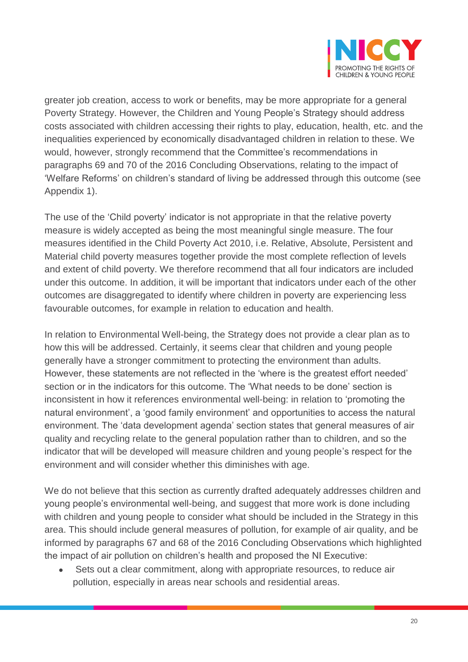

greater job creation, access to work or benefits, may be more appropriate for a general Poverty Strategy. However, the Children and Young People's Strategy should address costs associated with children accessing their rights to play, education, health, etc. and the inequalities experienced by economically disadvantaged children in relation to these. We would, however, strongly recommend that the Committee's recommendations in paragraphs 69 and 70 of the 2016 Concluding Observations, relating to the impact of 'Welfare Reforms' on children's standard of living be addressed through this outcome (see Appendix 1).

The use of the 'Child poverty' indicator is not appropriate in that the relative poverty measure is widely accepted as being the most meaningful single measure. The four measures identified in the Child Poverty Act 2010, i.e. Relative, Absolute, Persistent and Material child poverty measures together provide the most complete reflection of levels and extent of child poverty. We therefore recommend that all four indicators are included under this outcome. In addition, it will be important that indicators under each of the other outcomes are disaggregated to identify where children in poverty are experiencing less favourable outcomes, for example in relation to education and health.

In relation to Environmental Well-being, the Strategy does not provide a clear plan as to how this will be addressed. Certainly, it seems clear that children and young people generally have a stronger commitment to protecting the environment than adults. However, these statements are not reflected in the 'where is the greatest effort needed' section or in the indicators for this outcome. The 'What needs to be done' section is inconsistent in how it references environmental well-being: in relation to 'promoting the natural environment', a 'good family environment' and opportunities to access the natural environment. The 'data development agenda' section states that general measures of air quality and recycling relate to the general population rather than to children, and so the indicator that will be developed will measure children and young people's respect for the environment and will consider whether this diminishes with age.

We do not believe that this section as currently drafted adequately addresses children and young people's environmental well-being, and suggest that more work is done including with children and young people to consider what should be included in the Strategy in this area. This should include general measures of pollution, for example of air quality, and be informed by paragraphs 67 and 68 of the 2016 Concluding Observations which highlighted the impact of air pollution on children's health and proposed the NI Executive:

 Sets out a clear commitment, along with appropriate resources, to reduce air pollution, especially in areas near schools and residential areas.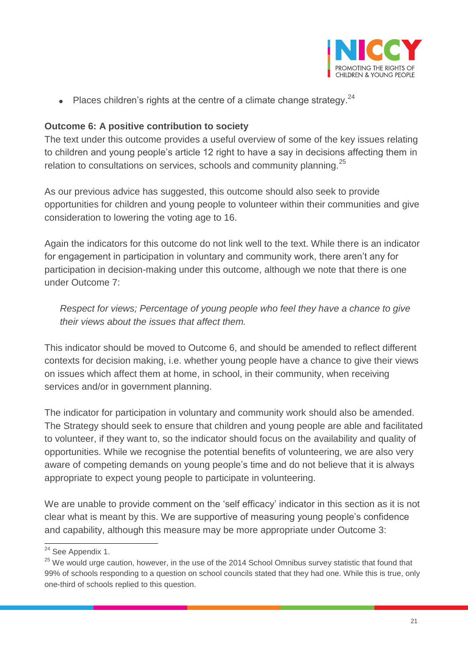

 $\bullet$  Places children's rights at the centre of a climate change strategy.<sup>24</sup>

# **Outcome 6: A positive contribution to society**

The text under this outcome provides a useful overview of some of the key issues relating to children and young people's article 12 right to have a say in decisions affecting them in relation to consultations on services, schools and community planning.<sup>25</sup>

As our previous advice has suggested, this outcome should also seek to provide opportunities for children and young people to volunteer within their communities and give consideration to lowering the voting age to 16.

Again the indicators for this outcome do not link well to the text. While there is an indicator for engagement in participation in voluntary and community work, there aren't any for participation in decision-making under this outcome, although we note that there is one under Outcome 7:

*Respect for views; Percentage of young people who feel they have a chance to give their views about the issues that affect them.*

This indicator should be moved to Outcome 6, and should be amended to reflect different contexts for decision making, i.e. whether young people have a chance to give their views on issues which affect them at home, in school, in their community, when receiving services and/or in government planning.

The indicator for participation in voluntary and community work should also be amended. The Strategy should seek to ensure that children and young people are able and facilitated to volunteer, if they want to, so the indicator should focus on the availability and quality of opportunities. While we recognise the potential benefits of volunteering, we are also very aware of competing demands on young people's time and do not believe that it is always appropriate to expect young people to participate in volunteering.

We are unable to provide comment on the 'self efficacy' indicator in this section as it is not clear what is meant by this. We are supportive of measuring young people's confidence and capability, although this measure may be more appropriate under Outcome 3:

 $\overline{a}$ <sup>24</sup> See Appendix 1.

 $25$  We would urge caution, however, in the use of the 2014 School Omnibus survey statistic that found that 99% of schools responding to a question on school councils stated that they had one. While this is true, only one-third of schools replied to this question.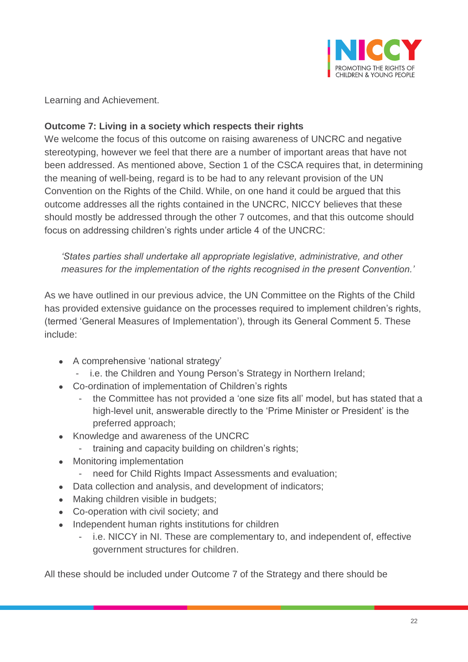

Learning and Achievement.

# **Outcome 7: Living in a society which respects their rights**

We welcome the focus of this outcome on raising awareness of UNCRC and negative stereotyping, however we feel that there are a number of important areas that have not been addressed. As mentioned above, Section 1 of the CSCA requires that, in determining the meaning of well-being, regard is to be had to any relevant provision of the UN Convention on the Rights of the Child. While, on one hand it could be argued that this outcome addresses all the rights contained in the UNCRC, NICCY believes that these should mostly be addressed through the other 7 outcomes, and that this outcome should focus on addressing children's rights under article 4 of the UNCRC:

*'States parties shall undertake all appropriate legislative, administrative, and other measures for the implementation of the rights recognised in the present Convention.'* 

As we have outlined in our previous advice, the UN Committee on the Rights of the Child has provided extensive guidance on the processes required to implement children's rights, (termed 'General Measures of Implementation'), through its General Comment 5. These include:

- A comprehensive 'national strategy'
	- i.e. the Children and Young Person's Strategy in Northern Ireland;
- Co-ordination of implementation of Children's rights
	- the Committee has not provided a 'one size fits all' model, but has stated that a high-level unit, answerable directly to the 'Prime Minister or President' is the preferred approach;
- Knowledge and awareness of the UNCRC
	- training and capacity building on children's rights;
- Monitoring implementation
	- need for Child Rights Impact Assessments and evaluation;
- Data collection and analysis, and development of indicators;
- Making children visible in budgets;
- Co-operation with civil society; and
- Independent human rights institutions for children
	- i.e. NICCY in NI. These are complementary to, and independent of, effective government structures for children.

All these should be included under Outcome 7 of the Strategy and there should be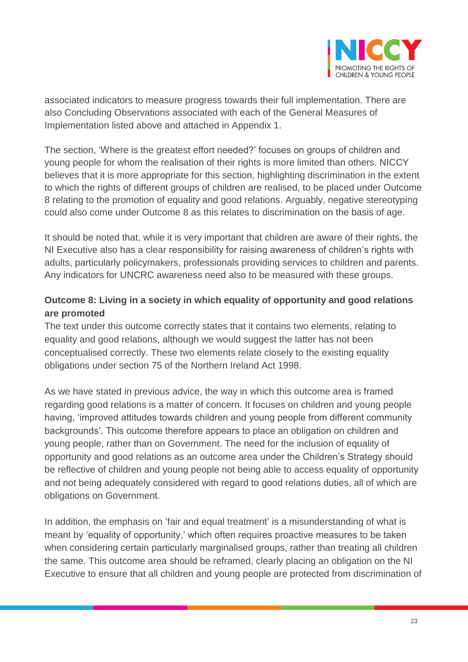

associated indicators to measure progress towards their full implementation. There are also Concluding Observations associated with each of the General Measures of Implementation listed above and attached in Appendix 1.

The section, 'Where is the greatest effort needed?' focuses on groups of children and young people for whom the realisation of their rights is more limited than others. NICCY believes that it is more appropriate for this section, highlighting discrimination in the extent to which the rights of different groups of children are realised, to be placed under Outcome 8 relating to the promotion of equality and good relations. Arguably, negative stereotyping could also come under Outcome 8 as this relates to discrimination on the basis of age.

It should be noted that, while it is very important that children are aware of their rights, the NI Executive also has a clear responsibility for raising awareness of children's rights with adults, particularly policymakers, professionals providing services to children and parents. Any indicators for UNCRC awareness need also to be measured with these groups.

# **Outcome 8: Living in a society in which equality of opportunity and good relations are promoted**

The text under this outcome correctly states that it contains two elements, relating to equality and good relations, although we would suggest the latter has not been conceptualised correctly. These two elements relate closely to the existing equality obligations under section 75 of the Northern Ireland Act 1998.

As we have stated in previous advice, the way in which this outcome area is framed regarding good relations is a matter of concern. It focuses on children and young people having, 'improved attitudes towards children and young people from different community backgrounds'. This outcome therefore appears to place an obligation on children and young people, rather than on Government. The need for the inclusion of equality of opportunity and good relations as an outcome area under the Children's Strategy should be reflective of children and young people not being able to access equality of opportunity and not being adequately considered with regard to good relations duties, all of which are obligations on Government.

In addition, the emphasis on 'fair and equal treatment' is a misunderstanding of what is meant by 'equality of opportunity,' which often requires proactive measures to be taken when considering certain particularly marginalised groups, rather than treating all children the same. This outcome area should be reframed, clearly placing an obligation on the NI Executive to ensure that all children and young people are protected from discrimination of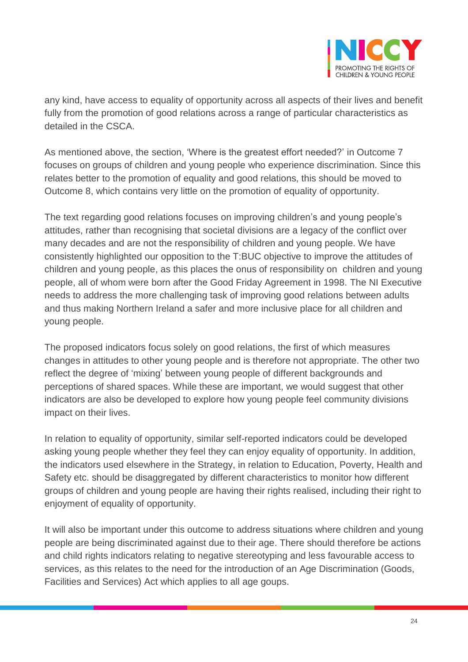

any kind, have access to equality of opportunity across all aspects of their lives and benefit fully from the promotion of good relations across a range of particular characteristics as detailed in the CSCA.

As mentioned above, the section, 'Where is the greatest effort needed?' in Outcome 7 focuses on groups of children and young people who experience discrimination. Since this relates better to the promotion of equality and good relations, this should be moved to Outcome 8, which contains very little on the promotion of equality of opportunity.

The text regarding good relations focuses on improving children's and young people's attitudes, rather than recognising that societal divisions are a legacy of the conflict over many decades and are not the responsibility of children and young people. We have consistently highlighted our opposition to the T:BUC objective to improve the attitudes of children and young people, as this places the onus of responsibility on children and young people, all of whom were born after the Good Friday Agreement in 1998. The NI Executive needs to address the more challenging task of improving good relations between adults and thus making Northern Ireland a safer and more inclusive place for all children and young people.

The proposed indicators focus solely on good relations, the first of which measures changes in attitudes to other young people and is therefore not appropriate. The other two reflect the degree of 'mixing' between young people of different backgrounds and perceptions of shared spaces. While these are important, we would suggest that other indicators are also be developed to explore how young people feel community divisions impact on their lives.

In relation to equality of opportunity, similar self-reported indicators could be developed asking young people whether they feel they can enjoy equality of opportunity. In addition, the indicators used elsewhere in the Strategy, in relation to Education, Poverty, Health and Safety etc. should be disaggregated by different characteristics to monitor how different groups of children and young people are having their rights realised, including their right to enjoyment of equality of opportunity.

It will also be important under this outcome to address situations where children and young people are being discriminated against due to their age. There should therefore be actions and child rights indicators relating to negative stereotyping and less favourable access to services, as this relates to the need for the introduction of an Age Discrimination (Goods, Facilities and Services) Act which applies to all age goups.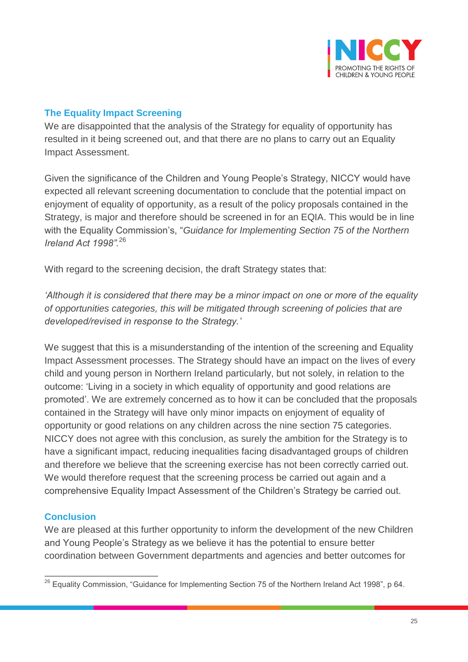

# **The Equality Impact Screening**

We are disappointed that the analysis of the Strategy for equality of opportunity has resulted in it being screened out, and that there are no plans to carry out an Equality Impact Assessment.

Given the significance of the Children and Young People's Strategy, NICCY would have expected all relevant screening documentation to conclude that the potential impact on enjoyment of equality of opportunity, as a result of the policy proposals contained in the Strategy, is major and therefore should be screened in for an EQIA. This would be in line with the Equality Commission's, "*Guidance for Implementing Section 75 of the Northern Ireland Act 1998".* 26

With regard to the screening decision, the draft Strategy states that:

*'Although it is considered that there may be a minor impact on one or more of the equality of opportunities categories, this will be mitigated through screening of policies that are developed/revised in response to the Strategy.'*

We suggest that this is a misunderstanding of the intention of the screening and Equality Impact Assessment processes. The Strategy should have an impact on the lives of every child and young person in Northern Ireland particularly, but not solely, in relation to the outcome: 'Living in a society in which equality of opportunity and good relations are promoted'. We are extremely concerned as to how it can be concluded that the proposals contained in the Strategy will have only minor impacts on enjoyment of equality of opportunity or good relations on any children across the nine section 75 categories. NICCY does not agree with this conclusion, as surely the ambition for the Strategy is to have a significant impact, reducing inequalities facing disadvantaged groups of children and therefore we believe that the screening exercise has not been correctly carried out. We would therefore request that the screening process be carried out again and a comprehensive Equality Impact Assessment of the Children's Strategy be carried out.

# **Conclusion**

We are pleased at this further opportunity to inform the development of the new Children and Young People's Strategy as we believe it has the potential to ensure better coordination between Government departments and agencies and better outcomes for

 $\overline{a}$  $^{26}$  Equality Commission, "Guidance for Implementing Section 75 of the Northern Ireland Act 1998", p 64.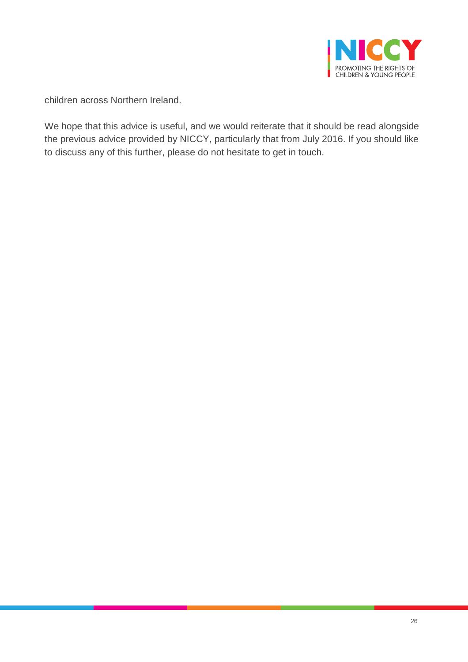

children across Northern Ireland.

We hope that this advice is useful, and we would reiterate that it should be read alongside the previous advice provided by NICCY, particularly that from July 2016. If you should like to discuss any of this further, please do not hesitate to get in touch.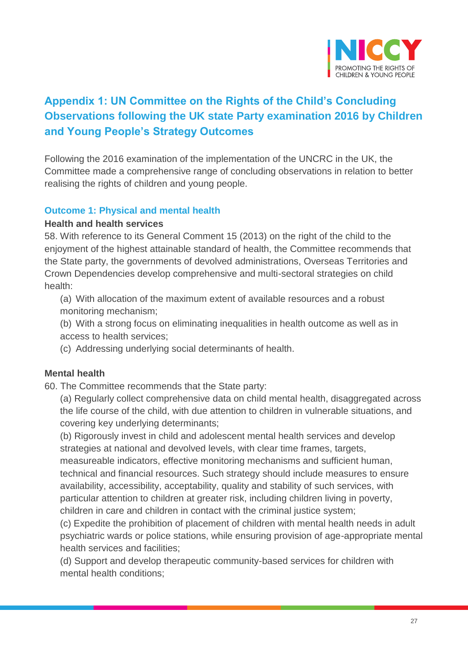

# **Appendix 1: UN Committee on the Rights of the Child's Concluding Observations following the UK state Party examination 2016 by Children and Young People's Strategy Outcomes**

Following the 2016 examination of the implementation of the UNCRC in the UK, the Committee made a comprehensive range of concluding observations in relation to better realising the rights of children and young people.

#### **Outcome 1: Physical and mental health**

#### **Health and health services**

58. With reference to its General Comment 15 (2013) on the right of the child to the enjoyment of the highest attainable standard of health, the Committee recommends that the State party, the governments of devolved administrations, Overseas Territories and Crown Dependencies develop comprehensive and multi-sectoral strategies on child health:

(a) With allocation of the maximum extent of available resources and a robust monitoring mechanism;

(b) With a strong focus on eliminating inequalities in health outcome as well as in access to health services;

(c) Addressing underlying social determinants of health.

#### **Mental health**

60. The Committee recommends that the State party:

(a) Regularly collect comprehensive data on child mental health, disaggregated across the life course of the child, with due attention to children in vulnerable situations, and covering key underlying determinants;

(b) Rigorously invest in child and adolescent mental health services and develop strategies at national and devolved levels, with clear time frames, targets,

measureable indicators, effective monitoring mechanisms and sufficient human, technical and financial resources. Such strategy should include measures to ensure availability, accessibility, acceptability, quality and stability of such services, with particular attention to children at greater risk, including children living in poverty, children in care and children in contact with the criminal justice system;

(c) Expedite the prohibition of placement of children with mental health needs in adult psychiatric wards or police stations, while ensuring provision of age-appropriate mental health services and facilities;

(d) Support and develop therapeutic community-based services for children with mental health conditions;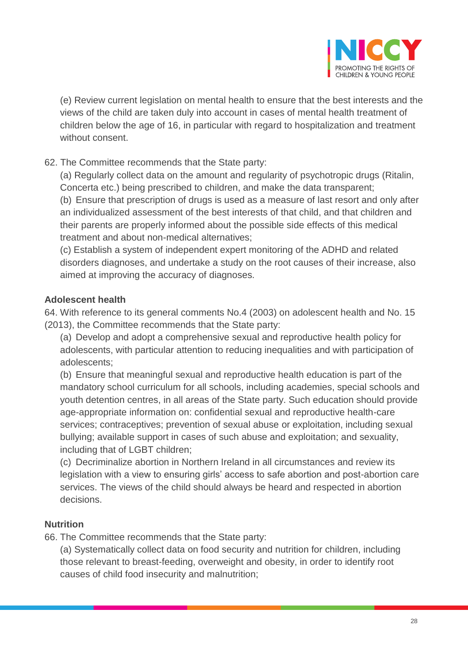

(e) Review current legislation on mental health to ensure that the best interests and the views of the child are taken duly into account in cases of mental health treatment of children below the age of 16, in particular with regard to hospitalization and treatment without consent.

62. The Committee recommends that the State party:

(a) Regularly collect data on the amount and regularity of psychotropic drugs (Ritalin, Concerta etc.) being prescribed to children, and make the data transparent; (b) Ensure that prescription of drugs is used as a measure of last resort and only after an individualized assessment of the best interests of that child, and that children and their parents are properly informed about the possible side effects of this medical treatment and about non-medical alternatives;

(c) Establish a system of independent expert monitoring of the ADHD and related disorders diagnoses, and undertake a study on the root causes of their increase, also aimed at improving the accuracy of diagnoses.

# **Adolescent health**

64. With reference to its general comments No.4 (2003) on adolescent health and No. 15 (2013), the Committee recommends that the State party:

(a) Develop and adopt a comprehensive sexual and reproductive health policy for adolescents, with particular attention to reducing inequalities and with participation of adolescents;

(b) Ensure that meaningful sexual and reproductive health education is part of the mandatory school curriculum for all schools, including academies, special schools and youth detention centres, in all areas of the State party. Such education should provide age-appropriate information on: confidential sexual and reproductive health-care services; contraceptives; prevention of sexual abuse or exploitation, including sexual bullying; available support in cases of such abuse and exploitation; and sexuality, including that of LGBT children;

(c) Decriminalize abortion in Northern Ireland in all circumstances and review its legislation with a view to ensuring girls' access to safe abortion and post-abortion care services. The views of the child should always be heard and respected in abortion decisions.

# **Nutrition**

66. The Committee recommends that the State party:

(a) Systematically collect data on food security and nutrition for children, including those relevant to breast-feeding, overweight and obesity, in order to identify root causes of child food insecurity and malnutrition;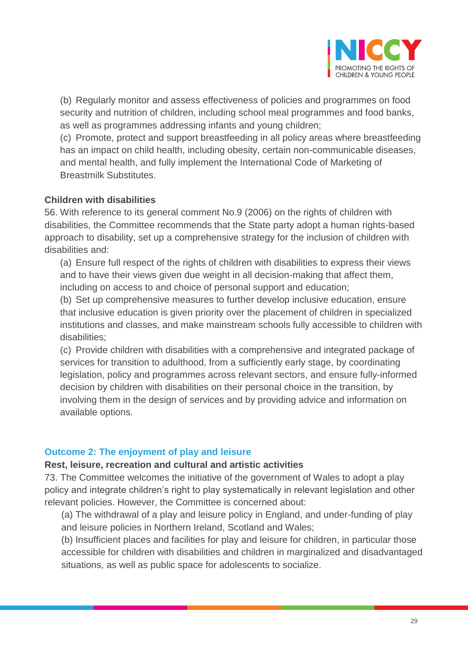

(b) Regularly monitor and assess effectiveness of policies and programmes on food security and nutrition of children, including school meal programmes and food banks, as well as programmes addressing infants and young children;

(c) Promote, protect and support breastfeeding in all policy areas where breastfeeding has an impact on child health, including obesity, certain non-communicable diseases, and mental health, and fully implement the International Code of Marketing of Breastmilk Substitutes.

#### **Children with disabilities**

56. With reference to its general comment No.9 (2006) on the rights of children with disabilities, the Committee recommends that the State party adopt a human rights-based approach to disability, set up a comprehensive strategy for the inclusion of children with disabilities and:

(a) Ensure full respect of the rights of children with disabilities to express their views and to have their views given due weight in all decision-making that affect them, including on access to and choice of personal support and education;

(b) Set up comprehensive measures to further develop inclusive education, ensure that inclusive education is given priority over the placement of children in specialized institutions and classes, and make mainstream schools fully accessible to children with disabilities;

(c) Provide children with disabilities with a comprehensive and integrated package of services for transition to adulthood, from a sufficiently early stage, by coordinating legislation, policy and programmes across relevant sectors, and ensure fully-informed decision by children with disabilities on their personal choice in the transition, by involving them in the design of services and by providing advice and information on available options.

#### **Outcome 2: The enjoyment of play and leisure**

#### **Rest, leisure, recreation and cultural and artistic activities**

73. The Committee welcomes the initiative of the government of Wales to adopt a play policy and integrate children's right to play systematically in relevant legislation and other relevant policies. However, the Committee is concerned about:

(a) The withdrawal of a play and leisure policy in England, and under-funding of play and leisure policies in Northern Ireland, Scotland and Wales;

(b) Insufficient places and facilities for play and leisure for children, in particular those accessible for children with disabilities and children in marginalized and disadvantaged situations, as well as public space for adolescents to socialize.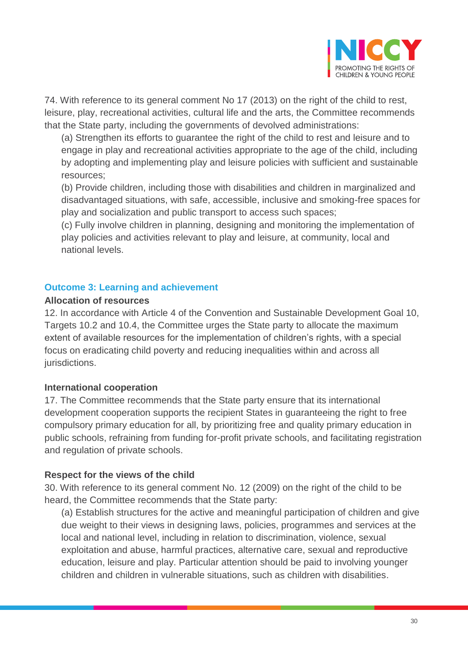

74. With reference to its general comment No 17 (2013) on the right of the child to rest, leisure, play, recreational activities, cultural life and the arts, the Committee recommends that the State party, including the governments of devolved administrations:

(a) Strengthen its efforts to guarantee the right of the child to rest and leisure and to engage in play and recreational activities appropriate to the age of the child, including by adopting and implementing play and leisure policies with sufficient and sustainable resources;

(b) Provide children, including those with disabilities and children in marginalized and disadvantaged situations, with safe, accessible, inclusive and smoking-free spaces for play and socialization and public transport to access such spaces;

(c) Fully involve children in planning, designing and monitoring the implementation of play policies and activities relevant to play and leisure, at community, local and national levels.

# **Outcome 3: Learning and achievement**

#### **Allocation of resources**

12. In accordance with Article 4 of the Convention and Sustainable Development Goal 10, Targets 10.2 and 10.4, the Committee urges the State party to allocate the maximum extent of available resources for the implementation of children's rights, with a special focus on eradicating child poverty and reducing inequalities within and across all jurisdictions.

# **International cooperation**

17. The Committee recommends that the State party ensure that its international development cooperation supports the recipient States in guaranteeing the right to free compulsory primary education for all, by prioritizing free and quality primary education in public schools, refraining from funding for-profit private schools, and facilitating registration and regulation of private schools.

# **Respect for the views of the child**

30. With reference to its general comment No. 12 (2009) on the right of the child to be heard, the Committee recommends that the State party:

(a) Establish structures for the active and meaningful participation of children and give due weight to their views in designing laws, policies, programmes and services at the local and national level, including in relation to discrimination, violence, sexual exploitation and abuse, harmful practices, alternative care, sexual and reproductive education, leisure and play. Particular attention should be paid to involving younger children and children in vulnerable situations, such as children with disabilities.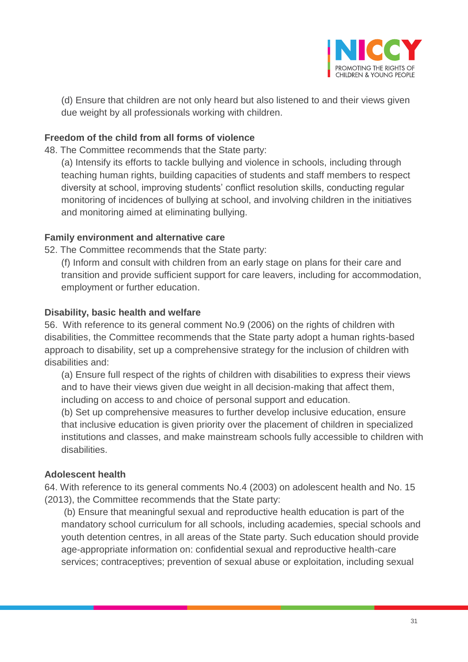

(d) Ensure that children are not only heard but also listened to and their views given due weight by all professionals working with children.

# **Freedom of the child from all forms of violence**

48. The Committee recommends that the State party:

(a) Intensify its efforts to tackle bullying and violence in schools, including through teaching human rights, building capacities of students and staff members to respect diversity at school, improving students' conflict resolution skills, conducting regular monitoring of incidences of bullying at school, and involving children in the initiatives and monitoring aimed at eliminating bullying.

#### **Family environment and alternative care**

52. The Committee recommends that the State party:

(f) Inform and consult with children from an early stage on plans for their care and transition and provide sufficient support for care leavers, including for accommodation, employment or further education.

#### **Disability, basic health and welfare**

56. With reference to its general comment No.9 (2006) on the rights of children with disabilities, the Committee recommends that the State party adopt a human rights-based approach to disability, set up a comprehensive strategy for the inclusion of children with disabilities and:

(a) Ensure full respect of the rights of children with disabilities to express their views and to have their views given due weight in all decision-making that affect them, including on access to and choice of personal support and education.

(b) Set up comprehensive measures to further develop inclusive education, ensure that inclusive education is given priority over the placement of children in specialized institutions and classes, and make mainstream schools fully accessible to children with disabilities.

#### **Adolescent health**

64. With reference to its general comments No.4 (2003) on adolescent health and No. 15 (2013), the Committee recommends that the State party:

(b) Ensure that meaningful sexual and reproductive health education is part of the mandatory school curriculum for all schools, including academies, special schools and youth detention centres, in all areas of the State party. Such education should provide age-appropriate information on: confidential sexual and reproductive health-care services; contraceptives; prevention of sexual abuse or exploitation, including sexual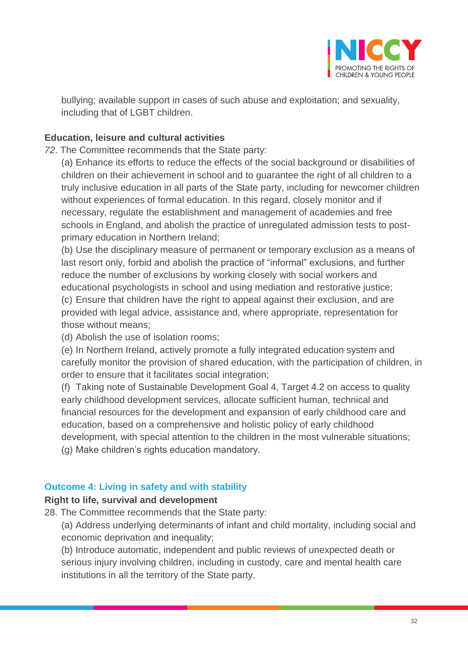

bullying; available support in cases of such abuse and exploitation; and sexuality, including that of LGBT children.

# **Education, leisure and cultural activities**

*72*. The Committee recommends that the State party:

(a) Enhance its efforts to reduce the effects of the social background or disabilities of children on their achievement in school and to guarantee the right of all children to a truly inclusive education in all parts of the State party, including for newcomer children without experiences of formal education. In this regard, closely monitor and if necessary, regulate the establishment and management of academies and free schools in England, and abolish the practice of unregulated admission tests to postprimary education in Northern Ireland;

(b) Use the disciplinary measure of permanent or temporary exclusion as a means of last resort only, forbid and abolish the practice of "informal" exclusions, and further reduce the number of exclusions by working closely with social workers and educational psychologists in school and using mediation and restorative justice; (c) Ensure that children have the right to appeal against their exclusion, and are provided with legal advice, assistance and, where appropriate, representation for those without means;

(d) Abolish the use of isolation rooms;

(e) In Northern Ireland, actively promote a fully integrated education system and carefully monitor the provision of shared education, with the participation of children, in order to ensure that it facilitates social integration;

(f) Taking note of Sustainable Development Goal 4, Target 4.2 on access to quality early childhood development services, allocate sufficient human, technical and financial resources for the development and expansion of early childhood care and education, based on a comprehensive and holistic policy of early childhood development, with special attention to the children in the most vulnerable situations; (g) Make children's rights education mandatory.

# **Outcome 4: Living in safety and with stability**

# **Right to life, survival and development**

28. The Committee recommends that the State party:

(a) Address underlying determinants of infant and child mortality, including social and economic deprivation and inequality;

(b) Introduce automatic, independent and public reviews of unexpected death or serious injury involving children, including in custody, care and mental health care institutions in all the territory of the State party.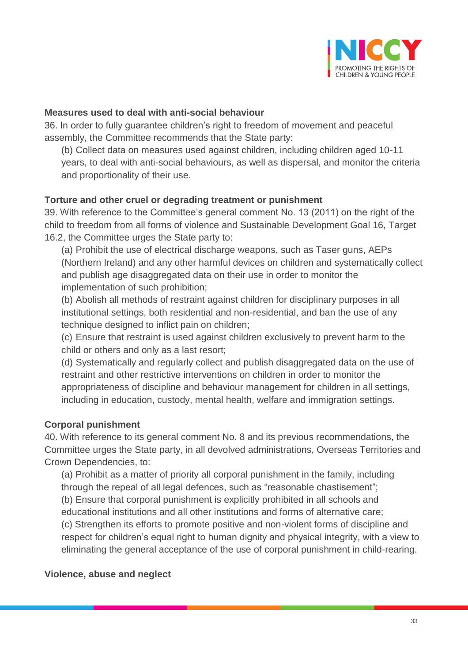

#### **Measures used to deal with anti-social behaviour**

36. In order to fully guarantee children's right to freedom of movement and peaceful assembly, the Committee recommends that the State party:

(b) Collect data on measures used against children, including children aged 10-11 years, to deal with anti-social behaviours, as well as dispersal, and monitor the criteria and proportionality of their use.

# **Torture and other cruel or degrading treatment or punishment**

39. With reference to the Committee's general comment No. 13 (2011) on the right of the child to freedom from all forms of violence and Sustainable Development Goal 16, Target 16.2, the Committee urges the State party to:

(a) Prohibit the use of electrical discharge weapons, such as Taser guns, AEPs (Northern Ireland) and any other harmful devices on children and systematically collect and publish age disaggregated data on their use in order to monitor the implementation of such prohibition;

(b) Abolish all methods of restraint against children for disciplinary purposes in all institutional settings, both residential and non-residential, and ban the use of any technique designed to inflict pain on children;

(c) Ensure that restraint is used against children exclusively to prevent harm to the child or others and only as a last resort;

(d) Systematically and regularly collect and publish disaggregated data on the use of restraint and other restrictive interventions on children in order to monitor the appropriateness of discipline and behaviour management for children in all settings, including in education, custody, mental health, welfare and immigration settings.

# **Corporal punishment**

40. With reference to its general comment No. 8 and its previous recommendations, the Committee urges the State party, in all devolved administrations, Overseas Territories and Crown Dependencies, to:

(a) Prohibit as a matter of priority all corporal punishment in the family, including through the repeal of all legal defences, such as "reasonable chastisement"; (b) Ensure that corporal punishment is explicitly prohibited in all schools and educational institutions and all other institutions and forms of alternative care; (c) Strengthen its efforts to promote positive and non-violent forms of discipline and respect for children's equal right to human dignity and physical integrity, with a view to eliminating the general acceptance of the use of corporal punishment in child-rearing.

# **Violence, abuse and neglect**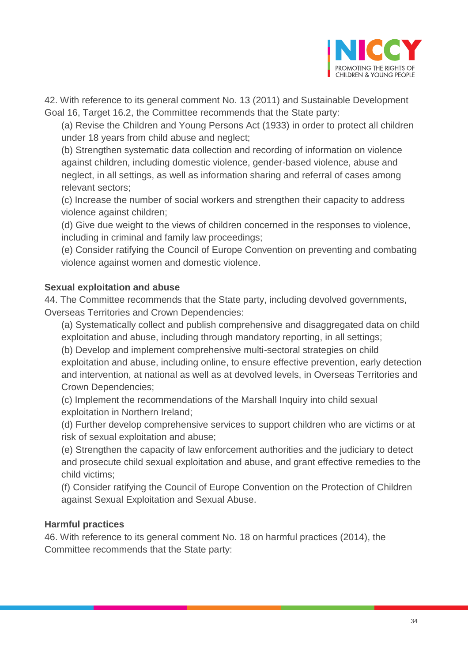

42. With reference to its general comment No. 13 (2011) and Sustainable Development Goal 16, Target 16.2, the Committee recommends that the State party:

(a) Revise the Children and Young Persons Act (1933) in order to protect all children under 18 years from child abuse and neglect;

(b) Strengthen systematic data collection and recording of information on violence against children, including domestic violence, gender-based violence, abuse and neglect, in all settings, as well as information sharing and referral of cases among relevant sectors;

(c) Increase the number of social workers and strengthen their capacity to address violence against children;

(d) Give due weight to the views of children concerned in the responses to violence, including in criminal and family law proceedings;

(e) Consider ratifying the Council of Europe Convention on preventing and combating violence against women and domestic violence.

# **Sexual exploitation and abuse**

44. The Committee recommends that the State party, including devolved governments, Overseas Territories and Crown Dependencies:

(a) Systematically collect and publish comprehensive and disaggregated data on child exploitation and abuse, including through mandatory reporting, in all settings;

(b) Develop and implement comprehensive multi-sectoral strategies on child exploitation and abuse, including online, to ensure effective prevention, early detection and intervention, at national as well as at devolved levels, in Overseas Territories and Crown Dependencies;

(c) Implement the recommendations of the Marshall Inquiry into child sexual exploitation in Northern Ireland;

(d) Further develop comprehensive services to support children who are victims or at risk of sexual exploitation and abuse;

(e) Strengthen the capacity of law enforcement authorities and the judiciary to detect and prosecute child sexual exploitation and abuse, and grant effective remedies to the child victims;

(f) Consider ratifying the Council of Europe Convention on the Protection of Children against Sexual Exploitation and Sexual Abuse.

# **Harmful practices**

46. With reference to its general comment No. 18 on harmful practices (2014), the Committee recommends that the State party: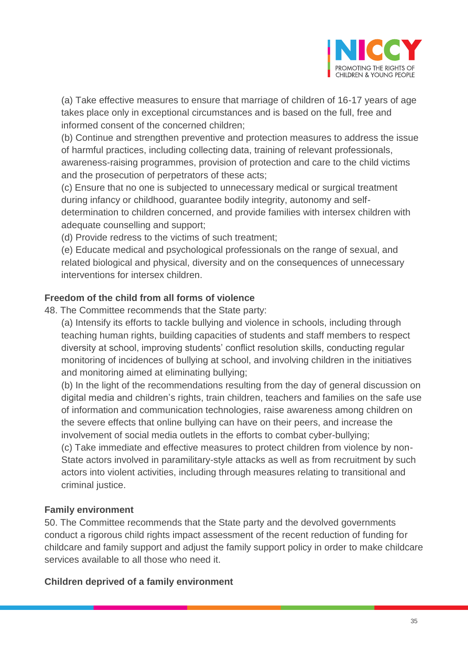

(a) Take effective measures to ensure that marriage of children of 16-17 years of age takes place only in exceptional circumstances and is based on the full, free and informed consent of the concerned children;

(b) Continue and strengthen preventive and protection measures to address the issue of harmful practices, including collecting data, training of relevant professionals, awareness-raising programmes, provision of protection and care to the child victims and the prosecution of perpetrators of these acts;

(c) Ensure that no one is subjected to unnecessary medical or surgical treatment during infancy or childhood, guarantee bodily integrity, autonomy and selfdetermination to children concerned, and provide families with intersex children with adequate counselling and support;

(d) Provide redress to the victims of such treatment;

(e) Educate medical and psychological professionals on the range of sexual, and related biological and physical, diversity and on the consequences of unnecessary interventions for intersex children.

# **Freedom of the child from all forms of violence**

48. The Committee recommends that the State party:

(a) Intensify its efforts to tackle bullying and violence in schools, including through teaching human rights, building capacities of students and staff members to respect diversity at school, improving students' conflict resolution skills, conducting regular monitoring of incidences of bullying at school, and involving children in the initiatives and monitoring aimed at eliminating bullying;

(b) In the light of the recommendations resulting from the day of general discussion on digital media and children's rights, train children, teachers and families on the safe use of information and communication technologies, raise awareness among children on the severe effects that online bullying can have on their peers, and increase the involvement of social media outlets in the efforts to combat cyber-bullying;

(c) Take immediate and effective measures to protect children from violence by non-State actors involved in paramilitary-style attacks as well as from recruitment by such actors into violent activities, including through measures relating to transitional and criminal justice.

#### **Family environment**

50. The Committee recommends that the State party and the devolved governments conduct a rigorous child rights impact assessment of the recent reduction of funding for childcare and family support and adjust the family support policy in order to make childcare services available to all those who need it.

#### **Children deprived of a family environment**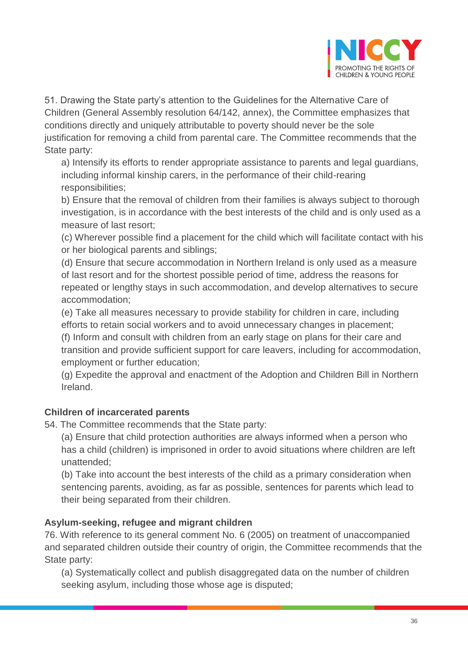

51. Drawing the State party's attention to the Guidelines for the Alternative Care of Children (General Assembly resolution 64/142, annex), the Committee emphasizes that conditions directly and uniquely attributable to poverty should never be the sole justification for removing a child from parental care. The Committee recommends that the State party:

a) Intensify its efforts to render appropriate assistance to parents and legal guardians, including informal kinship carers, in the performance of their child-rearing responsibilities;

b) Ensure that the removal of children from their families is always subject to thorough investigation, is in accordance with the best interests of the child and is only used as a measure of last resort;

(c) Wherever possible find a placement for the child which will facilitate contact with his or her biological parents and siblings;

(d) Ensure that secure accommodation in Northern Ireland is only used as a measure of last resort and for the shortest possible period of time, address the reasons for repeated or lengthy stays in such accommodation, and develop alternatives to secure accommodation;

(e) Take all measures necessary to provide stability for children in care, including efforts to retain social workers and to avoid unnecessary changes in placement;

(f) Inform and consult with children from an early stage on plans for their care and transition and provide sufficient support for care leavers, including for accommodation, employment or further education;

(g) Expedite the approval and enactment of the Adoption and Children Bill in Northern Ireland.

# **Children of incarcerated parents**

54. The Committee recommends that the State party:

(a) Ensure that child protection authorities are always informed when a person who has a child (children) is imprisoned in order to avoid situations where children are left unattended;

(b) Take into account the best interests of the child as a primary consideration when sentencing parents, avoiding, as far as possible, sentences for parents which lead to their being separated from their children.

# **Asylum-seeking, refugee and migrant children**

76. With reference to its general comment No. 6 (2005) on treatment of unaccompanied and separated children outside their country of origin, the Committee recommends that the State party:

(a) Systematically collect and publish disaggregated data on the number of children seeking asylum, including those whose age is disputed;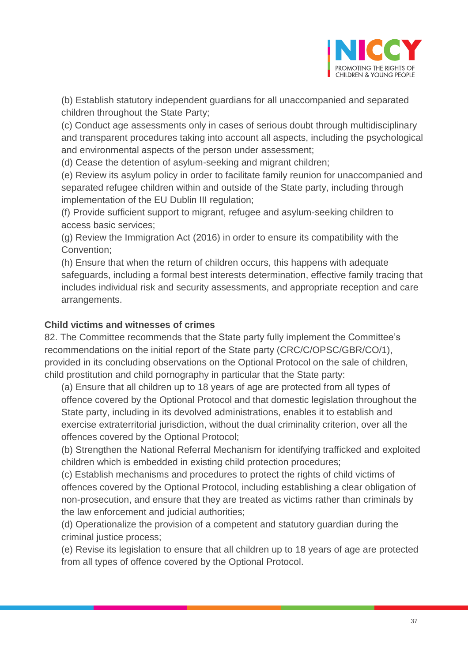

(b) Establish statutory independent guardians for all unaccompanied and separated children throughout the State Party;

(c) Conduct age assessments only in cases of serious doubt through multidisciplinary and transparent procedures taking into account all aspects, including the psychological and environmental aspects of the person under assessment;

(d) Cease the detention of asylum-seeking and migrant children;

(e) Review its asylum policy in order to facilitate family reunion for unaccompanied and separated refugee children within and outside of the State party, including through implementation of the EU Dublin III regulation;

(f) Provide sufficient support to migrant, refugee and asylum-seeking children to access basic services;

(g) Review the Immigration Act (2016) in order to ensure its compatibility with the Convention;

(h) Ensure that when the return of children occurs, this happens with adequate safeguards, including a formal best interests determination, effective family tracing that includes individual risk and security assessments, and appropriate reception and care arrangements.

# **Child victims and witnesses of crimes**

82. The Committee recommends that the State party fully implement the Committee's recommendations on the initial report of the State party (CRC/C/OPSC/GBR/CO/1), provided in its concluding observations on the Optional Protocol on the sale of children, child prostitution and child pornography in particular that the State party:

(a) Ensure that all children up to 18 years of age are protected from all types of offence covered by the Optional Protocol and that domestic legislation throughout the State party, including in its devolved administrations, enables it to establish and exercise extraterritorial jurisdiction, without the dual criminality criterion, over all the offences covered by the Optional Protocol;

(b) Strengthen the National Referral Mechanism for identifying trafficked and exploited children which is embedded in existing child protection procedures;

(c) Establish mechanisms and procedures to protect the rights of child victims of offences covered by the Optional Protocol, including establishing a clear obligation of non-prosecution, and ensure that they are treated as victims rather than criminals by the law enforcement and judicial authorities;

(d) Operationalize the provision of a competent and statutory guardian during the criminal justice process;

(e) Revise its legislation to ensure that all children up to 18 years of age are protected from all types of offence covered by the Optional Protocol.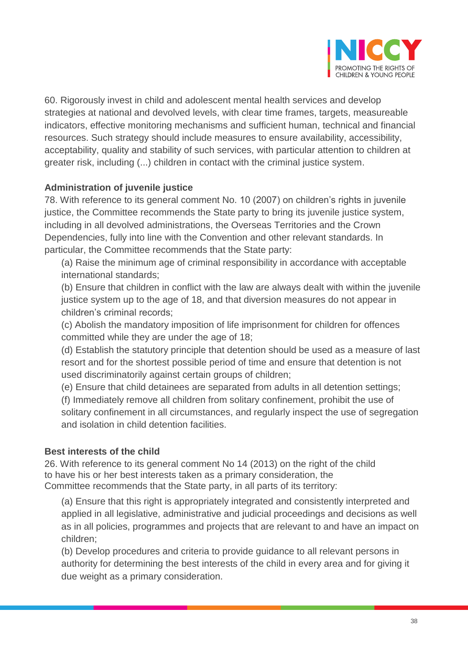

60. Rigorously invest in child and adolescent mental health services and develop strategies at national and devolved levels, with clear time frames, targets, measureable indicators, effective monitoring mechanisms and sufficient human, technical and financial resources. Such strategy should include measures to ensure availability, accessibility, acceptability, quality and stability of such services, with particular attention to children at greater risk, including (...) children in contact with the criminal justice system.

# **Administration of juvenile justice**

78. With reference to its general comment No. 10 (2007) on children's rights in juvenile justice, the Committee recommends the State party to bring its juvenile justice system, including in all devolved administrations, the Overseas Territories and the Crown Dependencies, fully into line with the Convention and other relevant standards. In particular, the Committee recommends that the State party:

(a) Raise the minimum age of criminal responsibility in accordance with acceptable international standards;

(b) Ensure that children in conflict with the law are always dealt with within the juvenile justice system up to the age of 18, and that diversion measures do not appear in children's criminal records;

(c) Abolish the mandatory imposition of life imprisonment for children for offences committed while they are under the age of 18;

(d) Establish the statutory principle that detention should be used as a measure of last resort and for the shortest possible period of time and ensure that detention is not used discriminatorily against certain groups of children;

(e) Ensure that child detainees are separated from adults in all detention settings;

(f) Immediately remove all children from solitary confinement, prohibit the use of solitary confinement in all circumstances, and regularly inspect the use of segregation and isolation in child detention facilities.

#### **Best interests of the child**

26. With reference to its general comment No 14 (2013) on the right of the child to have his or her best interests taken as a primary consideration, the Committee recommends that the State party, in all parts of its territory:

(a) Ensure that this right is appropriately integrated and consistently interpreted and applied in all legislative, administrative and judicial proceedings and decisions as well as in all policies, programmes and projects that are relevant to and have an impact on children;

(b) Develop procedures and criteria to provide guidance to all relevant persons in authority for determining the best interests of the child in every area and for giving it due weight as a primary consideration.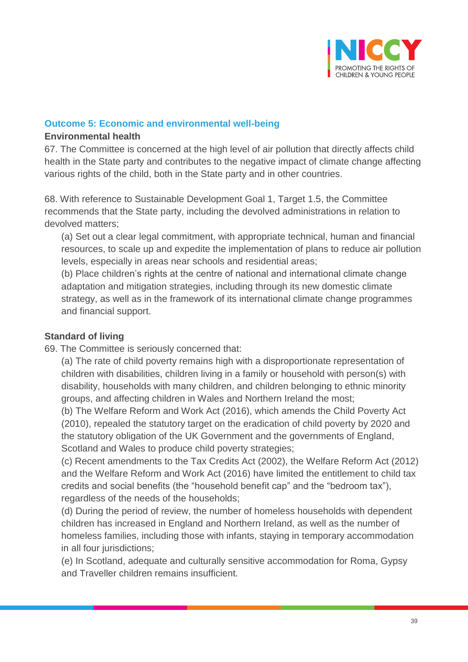

#### **Outcome 5: Economic and environmental well-being**

#### **Environmental health**

67. The Committee is concerned at the high level of air pollution that directly affects child health in the State party and contributes to the negative impact of climate change affecting various rights of the child, both in the State party and in other countries.

68. With reference to Sustainable Development Goal 1, Target 1.5, the Committee recommends that the State party, including the devolved administrations in relation to devolved matters;

(a) Set out a clear legal commitment, with appropriate technical, human and financial resources, to scale up and expedite the implementation of plans to reduce air pollution levels, especially in areas near schools and residential areas;

(b) Place children's rights at the centre of national and international climate change adaptation and mitigation strategies, including through its new domestic climate strategy, as well as in the framework of its international climate change programmes and financial support.

## **Standard of living**

69. The Committee is seriously concerned that:

(a) The rate of child poverty remains high with a disproportionate representation of children with disabilities, children living in a family or household with person(s) with disability, households with many children, and children belonging to ethnic minority groups, and affecting children in Wales and Northern Ireland the most;

(b) The Welfare Reform and Work Act (2016), which amends the Child Poverty Act (2010), repealed the statutory target on the eradication of child poverty by 2020 and the statutory obligation of the UK Government and the governments of England, Scotland and Wales to produce child poverty strategies;

(c) Recent amendments to the Tax Credits Act (2002), the Welfare Reform Act (2012) and the Welfare Reform and Work Act (2016) have limited the entitlement to child tax credits and social benefits (the "household benefit cap" and the "bedroom tax"), regardless of the needs of the households;

(d) During the period of review, the number of homeless households with dependent children has increased in England and Northern Ireland, as well as the number of homeless families, including those with infants, staying in temporary accommodation in all four jurisdictions;

(e) In Scotland, adequate and culturally sensitive accommodation for Roma, Gypsy and Traveller children remains insufficient.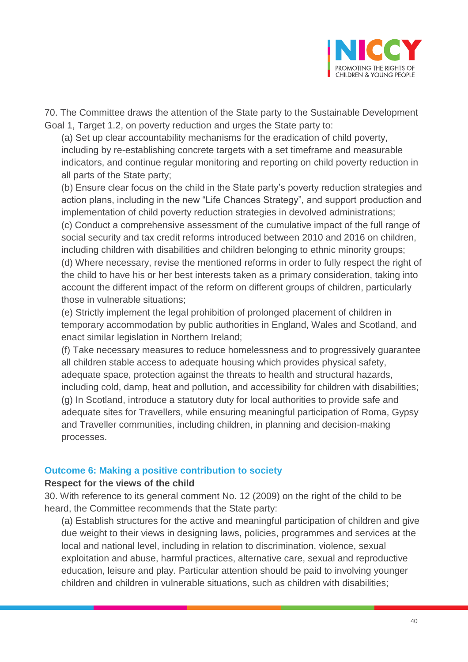

70. The Committee draws the attention of the State party to the Sustainable Development Goal 1, Target 1.2, on poverty reduction and urges the State party to:

(a) Set up clear accountability mechanisms for the eradication of child poverty, including by re-establishing concrete targets with a set timeframe and measurable indicators, and continue regular monitoring and reporting on child poverty reduction in all parts of the State party;

(b) Ensure clear focus on the child in the State party's poverty reduction strategies and action plans, including in the new "Life Chances Strategy", and support production and implementation of child poverty reduction strategies in devolved administrations;

(c) Conduct a comprehensive assessment of the cumulative impact of the full range of social security and tax credit reforms introduced between 2010 and 2016 on children, including children with disabilities and children belonging to ethnic minority groups; (d) Where necessary, revise the mentioned reforms in order to fully respect the right of the child to have his or her best interests taken as a primary consideration, taking into account the different impact of the reform on different groups of children, particularly those in vulnerable situations;

(e) Strictly implement the legal prohibition of prolonged placement of children in temporary accommodation by public authorities in England, Wales and Scotland, and enact similar legislation in Northern Ireland;

(f) Take necessary measures to reduce homelessness and to progressively guarantee all children stable access to adequate housing which provides physical safety, adequate space, protection against the threats to health and structural hazards, including cold, damp, heat and pollution, and accessibility for children with disabilities; (g) In Scotland, introduce a statutory duty for local authorities to provide safe and adequate sites for Travellers, while ensuring meaningful participation of Roma, Gypsy and Traveller communities, including children, in planning and decision-making processes.

#### **Outcome 6: Making a positive contribution to society**

#### **Respect for the views of the child**

30. With reference to its general comment No. 12 (2009) on the right of the child to be heard, the Committee recommends that the State party:

(a) Establish structures for the active and meaningful participation of children and give due weight to their views in designing laws, policies, programmes and services at the local and national level, including in relation to discrimination, violence, sexual exploitation and abuse, harmful practices, alternative care, sexual and reproductive education, leisure and play. Particular attention should be paid to involving younger children and children in vulnerable situations, such as children with disabilities;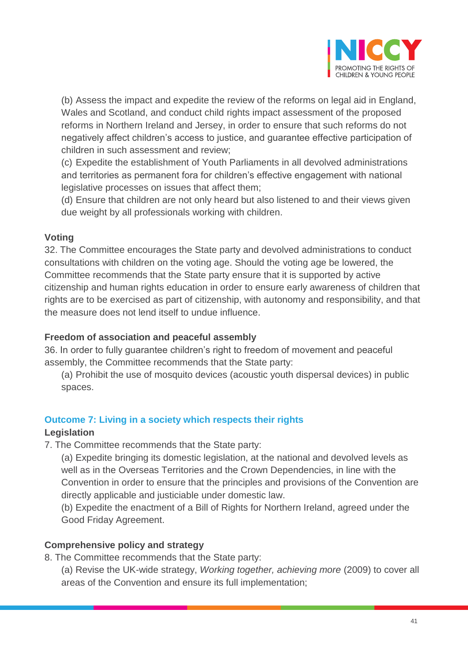

(b) Assess the impact and expedite the review of the reforms on legal aid in England, Wales and Scotland, and conduct child rights impact assessment of the proposed reforms in Northern Ireland and Jersey, in order to ensure that such reforms do not negatively affect children's access to justice, and guarantee effective participation of children in such assessment and review;

(c) Expedite the establishment of Youth Parliaments in all devolved administrations and territories as permanent fora for children's effective engagement with national legislative processes on issues that affect them;

(d) Ensure that children are not only heard but also listened to and their views given due weight by all professionals working with children.

#### **Voting**

32. The Committee encourages the State party and devolved administrations to conduct consultations with children on the voting age. Should the voting age be lowered, the Committee recommends that the State party ensure that it is supported by active citizenship and human rights education in order to ensure early awareness of children that rights are to be exercised as part of citizenship, with autonomy and responsibility, and that the measure does not lend itself to undue influence.

# **Freedom of association and peaceful assembly**

36. In order to fully guarantee children's right to freedom of movement and peaceful assembly, the Committee recommends that the State party:

(a) Prohibit the use of mosquito devices (acoustic youth dispersal devices) in public spaces.

# **Outcome 7: Living in a society which respects their rights**

#### **Legislation**

7. The Committee recommends that the State party:

(a) Expedite bringing its domestic legislation, at the national and devolved levels as well as in the Overseas Territories and the Crown Dependencies, in line with the Convention in order to ensure that the principles and provisions of the Convention are directly applicable and justiciable under domestic law.

(b) Expedite the enactment of a Bill of Rights for Northern Ireland, agreed under the Good Friday Agreement.

# **Comprehensive policy and strategy**

8. The Committee recommends that the State party:

(a) Revise the UK-wide strategy, *Working together, achieving more* (2009) to cover all areas of the Convention and ensure its full implementation;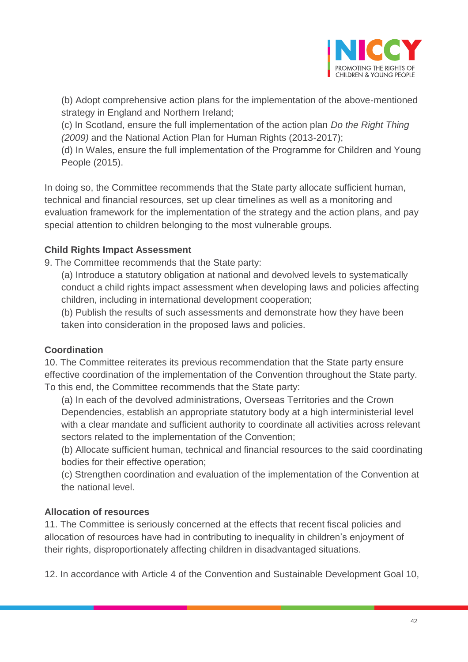

(b) Adopt comprehensive action plans for the implementation of the above-mentioned strategy in England and Northern Ireland;

(c) In Scotland, ensure the full implementation of the action plan *Do the Right Thing (2009)* and the National Action Plan for Human Rights (2013-2017);

(d) In Wales, ensure the full implementation of the Programme for Children and Young People (2015).

In doing so, the Committee recommends that the State party allocate sufficient human, technical and financial resources, set up clear timelines as well as a monitoring and evaluation framework for the implementation of the strategy and the action plans, and pay special attention to children belonging to the most vulnerable groups.

# **Child Rights Impact Assessment**

9. The Committee recommends that the State party:

(a) Introduce a statutory obligation at national and devolved levels to systematically conduct a child rights impact assessment when developing laws and policies affecting children, including in international development cooperation;

(b) Publish the results of such assessments and demonstrate how they have been taken into consideration in the proposed laws and policies.

# **Coordination**

10. The Committee reiterates its previous recommendation that the State party ensure effective coordination of the implementation of the Convention throughout the State party. To this end, the Committee recommends that the State party:

(a) In each of the devolved administrations, Overseas Territories and the Crown Dependencies, establish an appropriate statutory body at a high interministerial level with a clear mandate and sufficient authority to coordinate all activities across relevant sectors related to the implementation of the Convention;

(b) Allocate sufficient human, technical and financial resources to the said coordinating bodies for their effective operation;

(c) Strengthen coordination and evaluation of the implementation of the Convention at the national level.

# **Allocation of resources**

11. The Committee is seriously concerned at the effects that recent fiscal policies and allocation of resources have had in contributing to inequality in children's enjoyment of their rights, disproportionately affecting children in disadvantaged situations.

12. In accordance with Article 4 of the Convention and Sustainable Development Goal 10,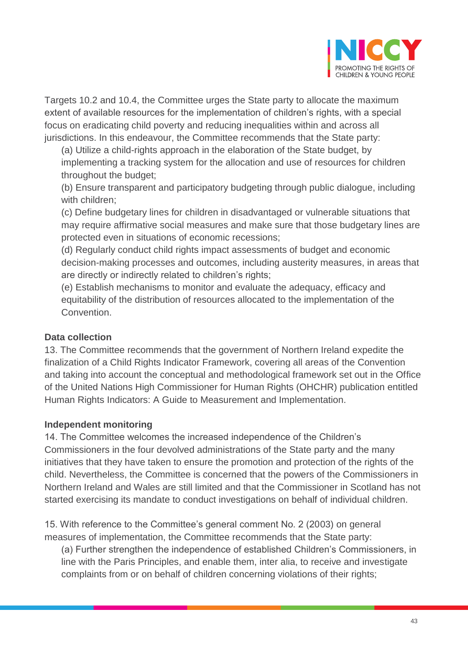

Targets 10.2 and 10.4, the Committee urges the State party to allocate the maximum extent of available resources for the implementation of children's rights, with a special focus on eradicating child poverty and reducing inequalities within and across all jurisdictions. In this endeavour, the Committee recommends that the State party:

(a) Utilize a child-rights approach in the elaboration of the State budget, by implementing a tracking system for the allocation and use of resources for children throughout the budget;

(b) Ensure transparent and participatory budgeting through public dialogue, including with children;

(c) Define budgetary lines for children in disadvantaged or vulnerable situations that may require affirmative social measures and make sure that those budgetary lines are protected even in situations of economic recessions;

(d) Regularly conduct child rights impact assessments of budget and economic decision-making processes and outcomes, including austerity measures, in areas that are directly or indirectly related to children's rights;

(e) Establish mechanisms to monitor and evaluate the adequacy, efficacy and equitability of the distribution of resources allocated to the implementation of the Convention.

# **Data collection**

13. The Committee recommends that the government of Northern Ireland expedite the finalization of a Child Rights Indicator Framework, covering all areas of the Convention and taking into account the conceptual and methodological framework set out in the Office of the United Nations High Commissioner for Human Rights (OHCHR) publication entitled Human Rights Indicators: A Guide to Measurement and Implementation.

# **Independent monitoring**

14. The Committee welcomes the increased independence of the Children's Commissioners in the four devolved administrations of the State party and the many initiatives that they have taken to ensure the promotion and protection of the rights of the child. Nevertheless, the Committee is concerned that the powers of the Commissioners in Northern Ireland and Wales are still limited and that the Commissioner in Scotland has not started exercising its mandate to conduct investigations on behalf of individual children.

15. With reference to the Committee's general comment No. 2 (2003) on general measures of implementation, the Committee recommends that the State party:

(a) Further strengthen the independence of established Children's Commissioners, in line with the Paris Principles, and enable them, inter alia, to receive and investigate complaints from or on behalf of children concerning violations of their rights;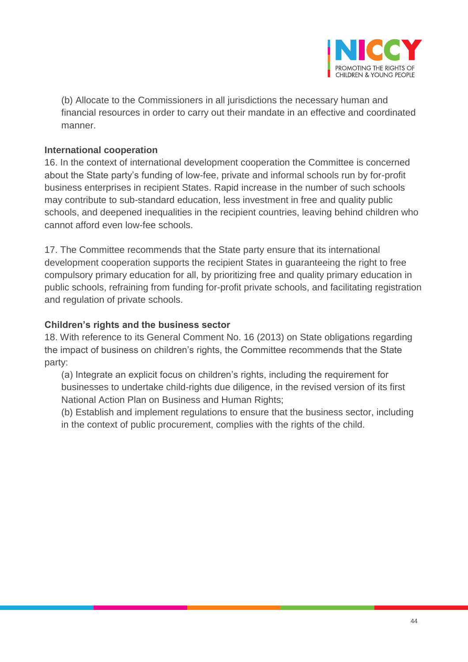

(b) Allocate to the Commissioners in all jurisdictions the necessary human and financial resources in order to carry out their mandate in an effective and coordinated manner.

## **International cooperation**

16. In the context of international development cooperation the Committee is concerned about the State party's funding of low-fee, private and informal schools run by for-profit business enterprises in recipient States. Rapid increase in the number of such schools may contribute to sub-standard education, less investment in free and quality public schools, and deepened inequalities in the recipient countries, leaving behind children who cannot afford even low-fee schools.

17. The Committee recommends that the State party ensure that its international development cooperation supports the recipient States in guaranteeing the right to free compulsory primary education for all, by prioritizing free and quality primary education in public schools, refraining from funding for-profit private schools, and facilitating registration and regulation of private schools.

#### **Children's rights and the business sector**

18. With reference to its General Comment No. 16 (2013) on State obligations regarding the impact of business on children's rights, the Committee recommends that the State party:

(a) Integrate an explicit focus on children's rights, including the requirement for businesses to undertake child-rights due diligence, in the revised version of its first National Action Plan on Business and Human Rights;

(b) Establish and implement regulations to ensure that the business sector, including in the context of public procurement, complies with the rights of the child.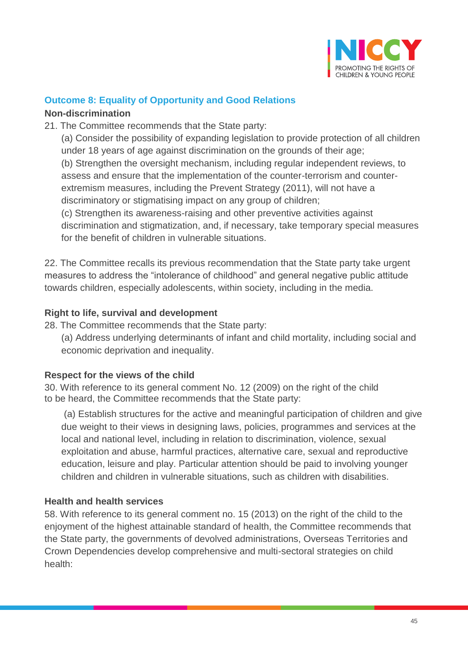

# **Outcome 8: Equality of Opportunity and Good Relations**

#### **Non-discrimination**

21. The Committee recommends that the State party:

(a) Consider the possibility of expanding legislation to provide protection of all children under 18 years of age against discrimination on the grounds of their age; (b) Strengthen the oversight mechanism, including regular independent reviews, to assess and ensure that the implementation of the counter-terrorism and counterextremism measures, including the Prevent Strategy (2011), will not have a discriminatory or stigmatising impact on any group of children;

(c) Strengthen its awareness-raising and other preventive activities against discrimination and stigmatization, and, if necessary, take temporary special measures for the benefit of children in vulnerable situations.

22. The Committee recalls its previous recommendation that the State party take urgent measures to address the "intolerance of childhood" and general negative public attitude towards children, especially adolescents, within society, including in the media.

# **Right to life, survival and development**

28. The Committee recommends that the State party:

(a) Address underlying determinants of infant and child mortality, including social and economic deprivation and inequality.

# **Respect for the views of the child**

30. With reference to its general comment No. 12 (2009) on the right of the child to be heard, the Committee recommends that the State party:

(a) Establish structures for the active and meaningful participation of children and give due weight to their views in designing laws, policies, programmes and services at the local and national level, including in relation to discrimination, violence, sexual exploitation and abuse, harmful practices, alternative care, sexual and reproductive education, leisure and play. Particular attention should be paid to involving younger children and children in vulnerable situations, such as children with disabilities.

# **Health and health services**

58. With reference to its general comment no. 15 (2013) on the right of the child to the enjoyment of the highest attainable standard of health, the Committee recommends that the State party, the governments of devolved administrations, Overseas Territories and Crown Dependencies develop comprehensive and multi-sectoral strategies on child health: